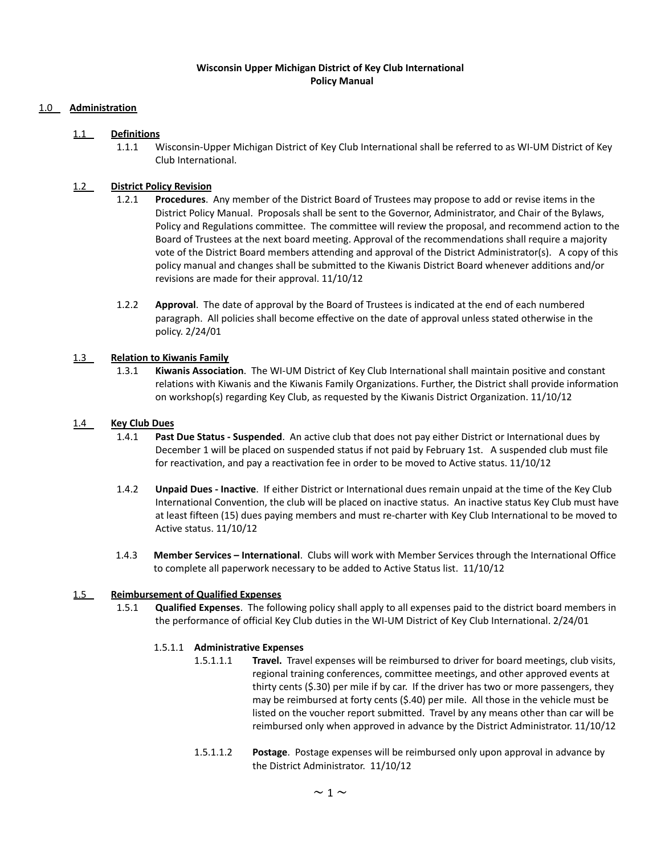## **Wisconsin Upper Michigan District of Key Club International Policy Manual**

## 1.0 **Administration**

### 1.1 **Definitions**

1.1.1 Wisconsin-Upper Michigan District of Key Club International shall be referred to as WI-UM District of Key Club International.

## 1.2 **District Policy Revision**

- 1.2.1 **Procedures**. Any member of the District Board of Trustees may propose to add or revise items in the District Policy Manual. Proposals shall be sent to the Governor, Administrator, and Chair of the Bylaws, Policy and Regulations committee. The committee will review the proposal, and recommend action to the Board of Trustees at the next board meeting. Approval of the recommendations shall require a majority vote of the District Board members attending and approval of the District Administrator(s). A copy of this policy manual and changes shall be submitted to the Kiwanis District Board whenever additions and/or revisions are made for their approval. 11/10/12
- 1.2.2 **Approval**. The date of approval by the Board of Trustees is indicated at the end of each numbered paragraph. All policies shall become effective on the date of approval unless stated otherwise in the policy. 2/24/01

#### 1.3 **Relation to Kiwanis Family**

1.3.1 **Kiwanis Association**. The WI-UM District of Key Club International shall maintain positive and constant relations with Kiwanis and the Kiwanis Family Organizations. Further, the District shall provide information on workshop(s) regarding Key Club, as requested by the Kiwanis District Organization. 11/10/12

#### 1.4 **Key Club Dues**

- 1.4.1 **Past Due Status - Suspended**. An active club that does not pay either District or International dues by December 1 will be placed on suspended status if not paid by February 1st. A suspended club must file for reactivation, and pay a reactivation fee in order to be moved to Active status. 11/10/12
- 1.4.2 **Unpaid Dues - Inactive**. If either District or International dues remain unpaid at the time of the Key Club International Convention, the club will be placed on inactive status. An inactive status Key Club must have at least fifteen (15) dues paying members and must re-charter with Key Club International to be moved to Active status. 11/10/12
- 1.4.3 **Member Services – International**. Clubs will work with Member Services through the International Office to complete all paperwork necessary to be added to Active Status list. 11/10/12

#### 1.5 **Reimbursement of Qualified Expenses**

1.5.1 **Qualified Expenses**. The following policy shall apply to all expenses paid to the district board members in the performance of official Key Club duties in the WI-UM District of Key Club International. 2/24/01

#### 1.5.1.1 **Administrative Expenses**

- 1.5.1.1.1 **Travel.** Travel expenses will be reimbursed to driver for board meetings, club visits, regional training conferences, committee meetings, and other approved events at thirty cents (\$.30) per mile if by car. If the driver has two or more passengers, they may be reimbursed at forty cents (\$.40) per mile. All those in the vehicle must be listed on the voucher report submitted. Travel by any means other than car will be reimbursed only when approved in advance by the District Administrator. 11/10/12
- 1.5.1.1.2 **Postage**. Postage expenses will be reimbursed only upon approval in advance by the District Administrator. 11/10/12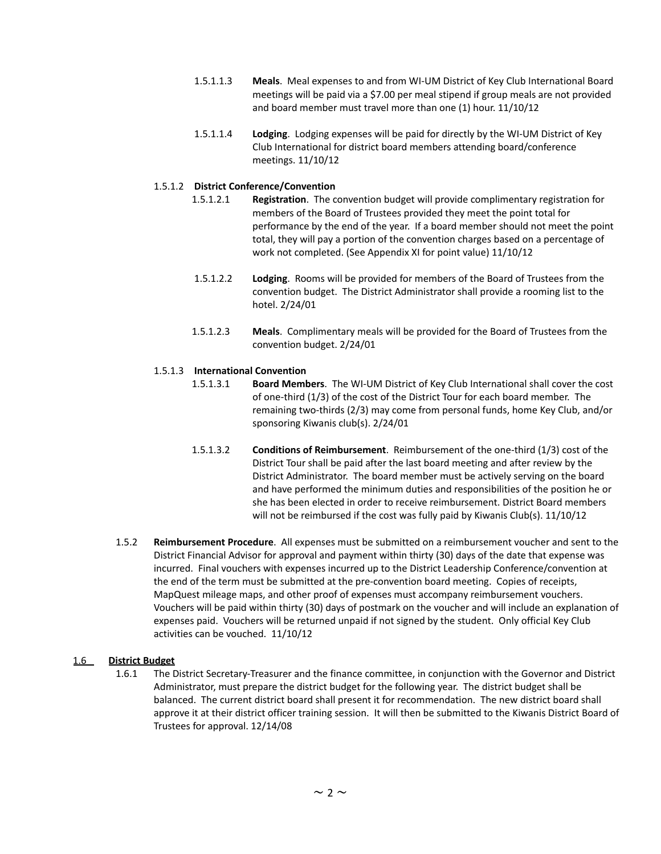- 1.5.1.1.3 **Meals**. Meal expenses to and from WI-UM District of Key Club International Board meetings will be paid via a \$7.00 per meal stipend if group meals are not provided and board member must travel more than one (1) hour. 11/10/12
- 1.5.1.1.4 **Lodging**. Lodging expenses will be paid for directly by the WI-UM District of Key Club International for district board members attending board/conference meetings. 11/10/12

## 1.5.1.2 **District Conference/Convention**

- 1.5.1.2.1 **Registration**. The convention budget will provide complimentary registration for members of the Board of Trustees provided they meet the point total for performance by the end of the year. If a board member should not meet the point total, they will pay a portion of the convention charges based on a percentage of work not completed. (See Appendix XI for point value) 11/10/12
- 1.5.1.2.2 **Lodging**. Rooms will be provided for members of the Board of Trustees from the convention budget. The District Administrator shall provide a rooming list to the hotel. 2/24/01
- 1.5.1.2.3 **Meals**. Complimentary meals will be provided for the Board of Trustees from the convention budget. 2/24/01

## 1.5.1.3 **International Convention**

- 1.5.1.3.1 **Board Members**. The WI-UM District of Key Club International shall cover the cost of one-third (1/3) of the cost of the District Tour for each board member. The remaining two-thirds (2/3) may come from personal funds, home Key Club, and/or sponsoring Kiwanis club(s). 2/24/01
- 1.5.1.3.2 **Conditions of Reimbursement**. Reimbursement of the one-third (1/3) cost of the District Tour shall be paid after the last board meeting and after review by the District Administrator. The board member must be actively serving on the board and have performed the minimum duties and responsibilities of the position he or she has been elected in order to receive reimbursement. District Board members will not be reimbursed if the cost was fully paid by Kiwanis Club(s). 11/10/12
- 1.5.2 **Reimbursement Procedure**. All expenses must be submitted on a reimbursement voucher and sent to the District Financial Advisor for approval and payment within thirty (30) days of the date that expense was incurred. Final vouchers with expenses incurred up to the District Leadership Conference/convention at the end of the term must be submitted at the pre-convention board meeting. Copies of receipts, MapQuest mileage maps, and other proof of expenses must accompany reimbursement vouchers. Vouchers will be paid within thirty (30) days of postmark on the voucher and will include an explanation of expenses paid. Vouchers will be returned unpaid if not signed by the student. Only official Key Club activities can be vouched. 11/10/12

#### 1.6 **District Budget**

1.6.1 The District Secretary-Treasurer and the finance committee, in conjunction with the Governor and District Administrator, must prepare the district budget for the following year. The district budget shall be balanced. The current district board shall present it for recommendation. The new district board shall approve it at their district officer training session. It will then be submitted to the Kiwanis District Board of Trustees for approval. 12/14/08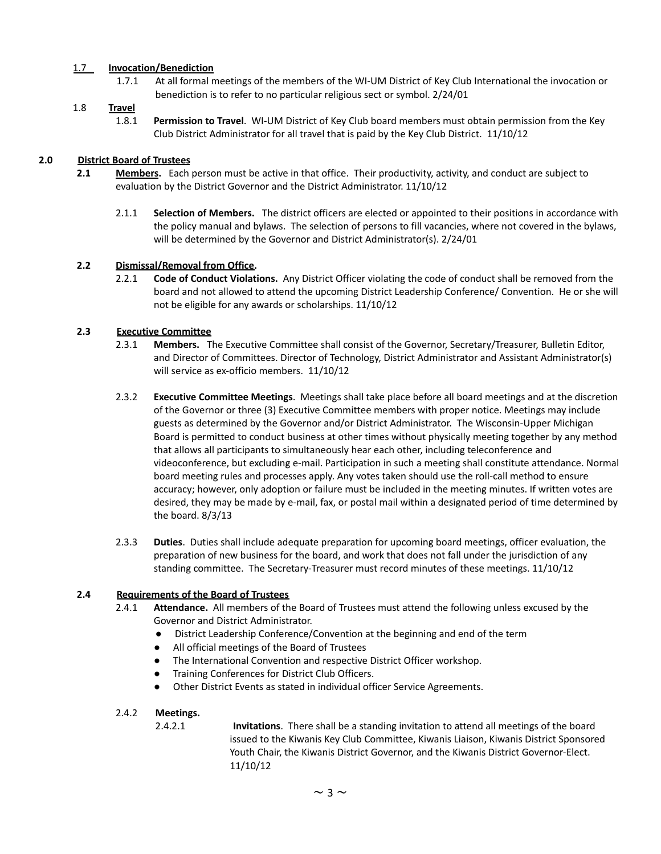## 1.7 **Invocation/Benediction**

1.7.1 At all formal meetings of the members of the WI-UM District of Key Club International the invocation or benediction is to refer to no particular religious sect or symbol. 2/24/01

## 1.8 **Travel**

1.8.1 **Permission to Travel**. WI-UM District of Key Club board members must obtain permission from the Key Club District Administrator for all travel that is paid by the Key Club District. 11/10/12

## **2.0 District Board of Trustees**

- **2.1 Members.** Each person must be active in that office. Their productivity, activity, and conduct are subject to evaluation by the District Governor and the District Administrator. 11/10/12
	- 2.1.1 **Selection of Members.** The district officers are elected or appointed to their positions in accordance with the policy manual and bylaws. The selection of persons to fill vacancies, where not covered in the bylaws, will be determined by the Governor and District Administrator(s). 2/24/01

## **2.2 Dismissal/Removal from Office.**

2.2.1 **Code of Conduct Violations.** Any District Officer violating the code of conduct shall be removed from the board and not allowed to attend the upcoming District Leadership Conference/ Convention. He or she will not be eligible for any awards or scholarships. 11/10/12

## **2.3 Executive Committee**

- 2.3.1 **Members.** The Executive Committee shall consist of the Governor, Secretary/Treasurer, Bulletin Editor, and Director of Committees. Director of Technology, District Administrator and Assistant Administrator(s) will service as ex-officio members. 11/10/12
- 2.3.2 **Executive Committee Meetings**. Meetings shall take place before all board meetings and at the discretion of the Governor or three (3) Executive Committee members with proper notice. Meetings may include guests as determined by the Governor and/or District Administrator. The Wisconsin-Upper Michigan Board is permitted to conduct business at other times without physically meeting together by any method that allows all participants to simultaneously hear each other, including teleconference and videoconference, but excluding e-mail. Participation in such a meeting shall constitute attendance. Normal board meeting rules and processes apply. Any votes taken should use the roll-call method to ensure accuracy; however, only adoption or failure must be included in the meeting minutes. If written votes are desired, they may be made by e-mail, fax, or postal mail within a designated period of time determined by the board. 8/3/13
- 2.3.3 **Duties**. Duties shall include adequate preparation for upcoming board meetings, officer evaluation, the preparation of new business for the board, and work that does not fall under the jurisdiction of any standing committee. The Secretary-Treasurer must record minutes of these meetings. 11/10/12

## **2.4 Requirements of the Board of Trustees**

- 2.4.1 **Attendance.** All members of the Board of Trustees must attend the following unless excused by the Governor and District Administrator.
	- District Leadership Conference/Convention at the beginning and end of the term
	- All official meetings of the Board of Trustees
	- The International Convention and respective District Officer workshop.
	- Training Conferences for District Club Officers.
	- Other District Events as stated in individual officer Service Agreements.

## 2.4.2 **Meetings.**

2.4.2.1 **Invitations**. There shall be a standing invitation to attend all meetings of the board issued to the Kiwanis Key Club Committee, Kiwanis Liaison, Kiwanis District Sponsored Youth Chair, the Kiwanis District Governor, and the Kiwanis District Governor-Elect. 11/10/12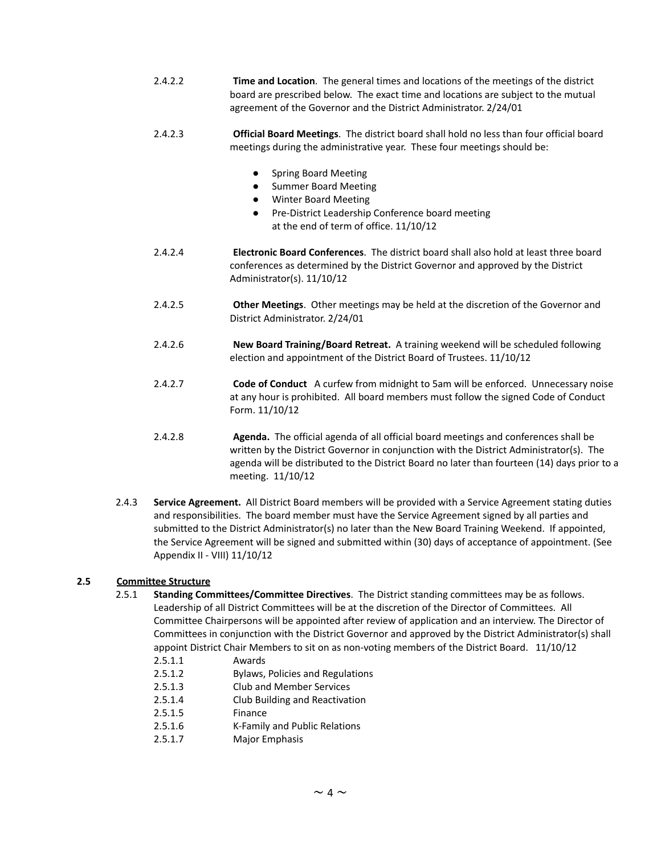- 2.4.2.2 **Time and Location**. The general times and locations of the meetings of the district board are prescribed below. The exact time and locations are subject to the mutual agreement of the Governor and the District Administrator. 2/24/01
- 2.4.2.3 **Official Board Meetings**. The district board shall hold no less than four official board meetings during the administrative year. These four meetings should be:
	- **Spring Board Meeting**
	- Summer Board Meeting
	- **Winter Board Meeting**
	- Pre-District Leadership Conference board meeting at the end of term of office. 11/10/12
- 2.4.2.4 **Electronic Board Conferences**. The district board shall also hold at least three board conferences as determined by the District Governor and approved by the District Administrator(s). 11/10/12
- 2.4.2.5 **Other Meetings**. Other meetings may be held at the discretion of the Governor and District Administrator. 2/24/01
- 2.4.2.6 **New Board Training/Board Retreat.** A training weekend will be scheduled following election and appointment of the District Board of Trustees. 11/10/12
- 2.4.2.7 **Code of Conduct** A curfew from midnight to 5am will be enforced. Unnecessary noise at any hour is prohibited. All board members must follow the signed Code of Conduct Form. 11/10/12
- 2.4.2.8 **Agenda.** The official agenda of all official board meetings and conferences shall be written by the District Governor in conjunction with the District Administrator(s). The agenda will be distributed to the District Board no later than fourteen (14) days prior to a meeting. 11/10/12
- 2.4.3 **Service Agreement.** All District Board members will be provided with a Service Agreement stating duties and responsibilities. The board member must have the Service Agreement signed by all parties and submitted to the District Administrator(s) no later than the New Board Training Weekend. If appointed, the Service Agreement will be signed and submitted within (30) days of acceptance of appointment. (See Appendix II - VIII) 11/10/12

## **2.5 Committee Structure**

- 2.5.1 **Standing Committees/Committee Directives**. The District standing committees may be as follows. Leadership of all District Committees will be at the discretion of the Director of Committees. All Committee Chairpersons will be appointed after review of application and an interview. The Director of Committees in conjunction with the District Governor and approved by the District Administrator(s) shall appoint District Chair Members to sit on as non-voting members of the District Board. 11/10/12
	- 2.5.1.1 Awards
	- 2.5.1.2 Bylaws, Policies and Regulations
	- 2.5.1.3 Club and Member Services
	- 2.5.1.4 Club Building and Reactivation
	- 2.5.1.5 Finance
	- 2.5.1.6 K-Family and Public Relations
	- 2.5.1.7 Major Emphasis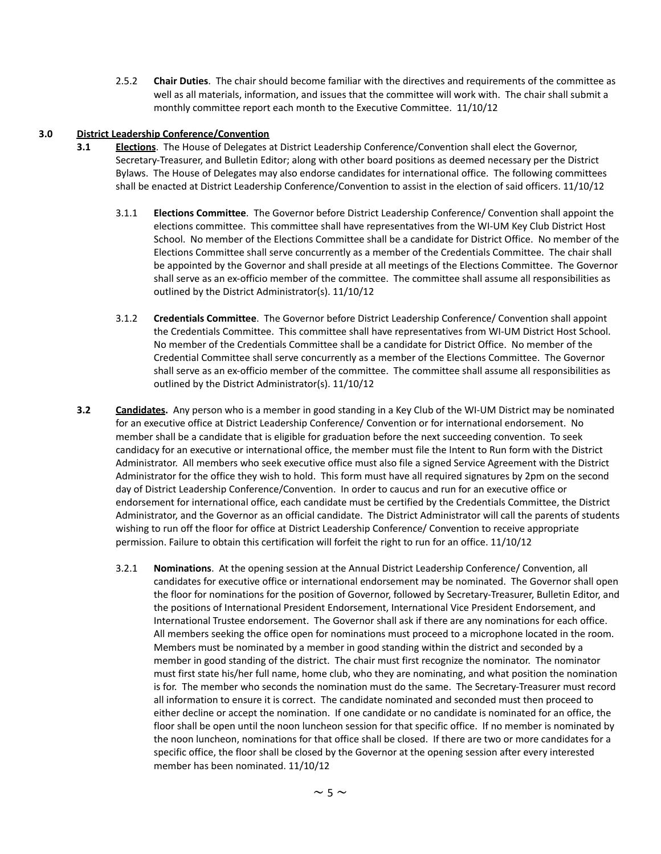2.5.2 **Chair Duties**. The chair should become familiar with the directives and requirements of the committee as well as all materials, information, and issues that the committee will work with. The chair shall submit a monthly committee report each month to the Executive Committee. 11/10/12

## **3.0 District Leadership Conference/Convention**

- **3.1 Elections**. The House of Delegates at District Leadership Conference/Convention shall elect the Governor, Secretary-Treasurer, and Bulletin Editor; along with other board positions as deemed necessary per the District Bylaws. The House of Delegates may also endorse candidates for international office. The following committees shall be enacted at District Leadership Conference/Convention to assist in the election of said officers. 11/10/12
	- 3.1.1 **Elections Committee**. The Governor before District Leadership Conference/ Convention shall appoint the elections committee. This committee shall have representatives from the WI-UM Key Club District Host School. No member of the Elections Committee shall be a candidate for District Office. No member of the Elections Committee shall serve concurrently as a member of the Credentials Committee. The chair shall be appointed by the Governor and shall preside at all meetings of the Elections Committee. The Governor shall serve as an ex-officio member of the committee. The committee shall assume all responsibilities as outlined by the District Administrator(s). 11/10/12
	- 3.1.2 **Credentials Committee**. The Governor before District Leadership Conference/ Convention shall appoint the Credentials Committee. This committee shall have representatives from WI-UM District Host School. No member of the Credentials Committee shall be a candidate for District Office. No member of the Credential Committee shall serve concurrently as a member of the Elections Committee. The Governor shall serve as an ex-officio member of the committee. The committee shall assume all responsibilities as outlined by the District Administrator(s). 11/10/12
- **3.2 Candidates.** Any person who is a member in good standing in a Key Club of the WI-UM District may be nominated for an executive office at District Leadership Conference/ Convention or for international endorsement. No member shall be a candidate that is eligible for graduation before the next succeeding convention. To seek candidacy for an executive or international office, the member must file the Intent to Run form with the District Administrator. All members who seek executive office must also file a signed Service Agreement with the District Administrator for the office they wish to hold. This form must have all required signatures by 2pm on the second day of District Leadership Conference/Convention. In order to caucus and run for an executive office or endorsement for international office, each candidate must be certified by the Credentials Committee, the District Administrator, and the Governor as an official candidate. The District Administrator will call the parents of students wishing to run off the floor for office at District Leadership Conference/ Convention to receive appropriate permission. Failure to obtain this certification will forfeit the right to run for an office. 11/10/12
	- 3.2.1 **Nominations**. At the opening session at the Annual District Leadership Conference/ Convention, all candidates for executive office or international endorsement may be nominated. The Governor shall open the floor for nominations for the position of Governor, followed by Secretary-Treasurer, Bulletin Editor, and the positions of International President Endorsement, International Vice President Endorsement, and International Trustee endorsement. The Governor shall ask if there are any nominations for each office. All members seeking the office open for nominations must proceed to a microphone located in the room. Members must be nominated by a member in good standing within the district and seconded by a member in good standing of the district. The chair must first recognize the nominator. The nominator must first state his/her full name, home club, who they are nominating, and what position the nomination is for. The member who seconds the nomination must do the same. The Secretary-Treasurer must record all information to ensure it is correct. The candidate nominated and seconded must then proceed to either decline or accept the nomination. If one candidate or no candidate is nominated for an office, the floor shall be open until the noon luncheon session for that specific office. If no member is nominated by the noon luncheon, nominations for that office shall be closed. If there are two or more candidates for a specific office, the floor shall be closed by the Governor at the opening session after every interested member has been nominated. 11/10/12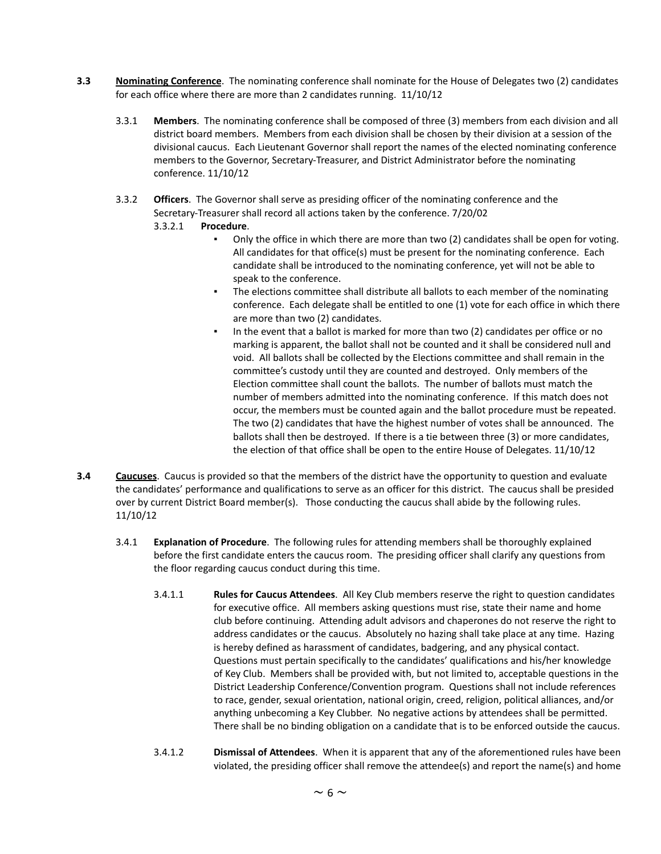- **3.3 Nominating Conference**. The nominating conference shall nominate for the House of Delegates two (2) candidates for each office where there are more than 2 candidates running. 11/10/12
	- 3.3.1 **Members**. The nominating conference shall be composed of three (3) members from each division and all district board members. Members from each division shall be chosen by their division at a session of the divisional caucus. Each Lieutenant Governor shall report the names of the elected nominating conference members to the Governor, Secretary-Treasurer, and District Administrator before the nominating conference. 11/10/12
	- 3.3.2 **Officers**. The Governor shall serve as presiding officer of the nominating conference and the Secretary-Treasurer shall record all actions taken by the conference. 7/20/02
		- 3.3.2.1 **Procedure**.
			- Only the office in which there are more than two (2) candidates shall be open for voting. All candidates for that office(s) must be present for the nominating conference. Each candidate shall be introduced to the nominating conference, yet will not be able to speak to the conference.
			- **•** The elections committee shall distribute all ballots to each member of the nominating conference. Each delegate shall be entitled to one (1) vote for each office in which there are more than two (2) candidates.
			- In the event that a ballot is marked for more than two (2) candidates per office or no marking is apparent, the ballot shall not be counted and it shall be considered null and void. All ballots shall be collected by the Elections committee and shall remain in the committee's custody until they are counted and destroyed. Only members of the Election committee shall count the ballots. The number of ballots must match the number of members admitted into the nominating conference. If this match does not occur, the members must be counted again and the ballot procedure must be repeated. The two (2) candidates that have the highest number of votes shall be announced. The ballots shall then be destroyed. If there is a tie between three (3) or more candidates, the election of that office shall be open to the entire House of Delegates. 11/10/12
- **3.4 Caucuses**. Caucus is provided so that the members of the district have the opportunity to question and evaluate the candidates' performance and qualifications to serve as an officer for this district. The caucus shall be presided over by current District Board member(s). Those conducting the caucus shall abide by the following rules. 11/10/12
	- 3.4.1 **Explanation of Procedure**. The following rules for attending members shall be thoroughly explained before the first candidate enters the caucus room. The presiding officer shall clarify any questions from the floor regarding caucus conduct during this time.
		- 3.4.1.1 **Rules for Caucus Attendees**. All Key Club members reserve the right to question candidates for executive office. All members asking questions must rise, state their name and home club before continuing. Attending adult advisors and chaperones do not reserve the right to address candidates or the caucus. Absolutely no hazing shall take place at any time. Hazing is hereby defined as harassment of candidates, badgering, and any physical contact. Questions must pertain specifically to the candidates' qualifications and his/her knowledge of Key Club. Members shall be provided with, but not limited to, acceptable questions in the District Leadership Conference/Convention program. Questions shall not include references to race, gender, sexual orientation, national origin, creed, religion, political alliances, and/or anything unbecoming a Key Clubber. No negative actions by attendees shall be permitted. There shall be no binding obligation on a candidate that is to be enforced outside the caucus.
		- 3.4.1.2 **Dismissal of Attendees**. When it is apparent that any of the aforementioned rules have been violated, the presiding officer shall remove the attendee(s) and report the name(s) and home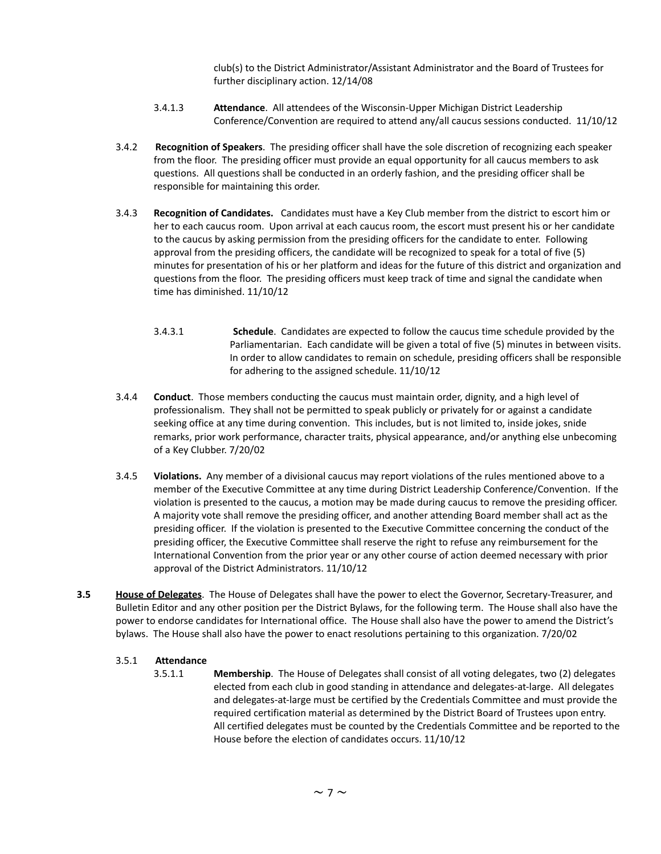club(s) to the District Administrator/Assistant Administrator and the Board of Trustees for further disciplinary action. 12/14/08

- 3.4.1.3 **Attendance**. All attendees of the Wisconsin-Upper Michigan District Leadership Conference/Convention are required to attend any/all caucus sessions conducted. 11/10/12
- 3.4.2 **Recognition of Speakers**. The presiding officer shall have the sole discretion of recognizing each speaker from the floor. The presiding officer must provide an equal opportunity for all caucus members to ask questions. All questions shall be conducted in an orderly fashion, and the presiding officer shall be responsible for maintaining this order.
- 3.4.3 **Recognition of Candidates.** Candidates must have a Key Club member from the district to escort him or her to each caucus room. Upon arrival at each caucus room, the escort must present his or her candidate to the caucus by asking permission from the presiding officers for the candidate to enter. Following approval from the presiding officers, the candidate will be recognized to speak for a total of five (5) minutes for presentation of his or her platform and ideas for the future of this district and organization and questions from the floor. The presiding officers must keep track of time and signal the candidate when time has diminished. 11/10/12
	- 3.4.3.1 **Schedule**. Candidates are expected to follow the caucus time schedule provided by the Parliamentarian. Each candidate will be given a total of five (5) minutes in between visits. In order to allow candidates to remain on schedule, presiding officers shall be responsible for adhering to the assigned schedule. 11/10/12
- 3.4.4 **Conduct**. Those members conducting the caucus must maintain order, dignity, and a high level of professionalism. They shall not be permitted to speak publicly or privately for or against a candidate seeking office at any time during convention. This includes, but is not limited to, inside jokes, snide remarks, prior work performance, character traits, physical appearance, and/or anything else unbecoming of a Key Clubber. 7/20/02
- 3.4.5 **Violations.** Any member of a divisional caucus may report violations of the rules mentioned above to a member of the Executive Committee at any time during District Leadership Conference/Convention. If the violation is presented to the caucus, a motion may be made during caucus to remove the presiding officer. A majority vote shall remove the presiding officer, and another attending Board member shall act as the presiding officer. If the violation is presented to the Executive Committee concerning the conduct of the presiding officer, the Executive Committee shall reserve the right to refuse any reimbursement for the International Convention from the prior year or any other course of action deemed necessary with prior approval of the District Administrators. 11/10/12
- **3.5 House of Delegates**. The House of Delegates shall have the power to elect the Governor, Secretary-Treasurer, and Bulletin Editor and any other position per the District Bylaws, for the following term. The House shall also have the power to endorse candidates for International office. The House shall also have the power to amend the District's bylaws. The House shall also have the power to enact resolutions pertaining to this organization. 7/20/02

## 3.5.1 **Attendance**

3.5.1.1 **Membership**. The House of Delegates shall consist of all voting delegates, two (2) delegates elected from each club in good standing in attendance and delegates-at-large. All delegates and delegates-at-large must be certified by the Credentials Committee and must provide the required certification material as determined by the District Board of Trustees upon entry. All certified delegates must be counted by the Credentials Committee and be reported to the House before the election of candidates occurs. 11/10/12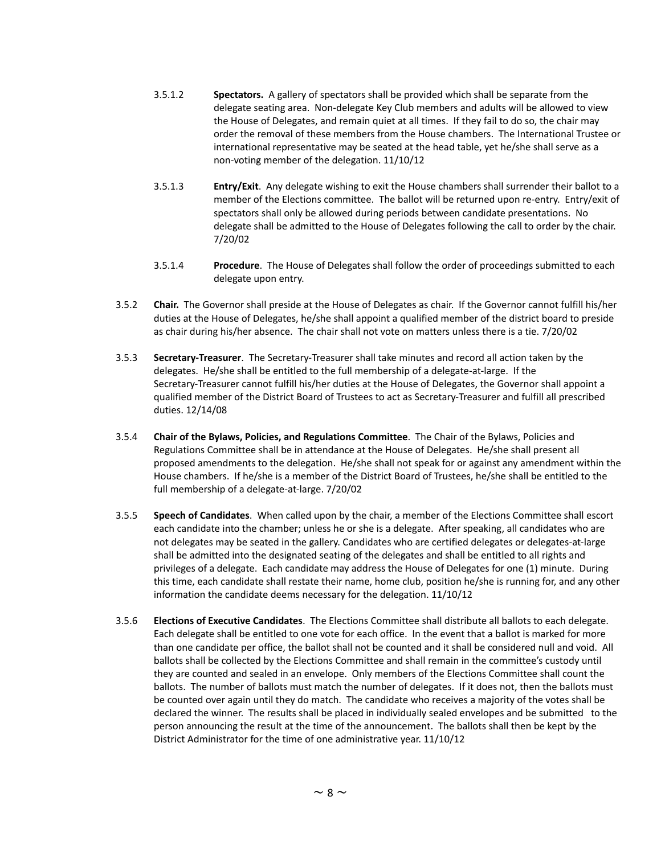- 3.5.1.2 **Spectators.** A gallery of spectators shall be provided which shall be separate from the delegate seating area. Non-delegate Key Club members and adults will be allowed to view the House of Delegates, and remain quiet at all times. If they fail to do so, the chair may order the removal of these members from the House chambers. The International Trustee or international representative may be seated at the head table, yet he/she shall serve as a non-voting member of the delegation. 11/10/12
- 3.5.1.3 **Entry/Exit**. Any delegate wishing to exit the House chambers shall surrender their ballot to a member of the Elections committee. The ballot will be returned upon re-entry. Entry/exit of spectators shall only be allowed during periods between candidate presentations. No delegate shall be admitted to the House of Delegates following the call to order by the chair. 7/20/02
- 3.5.1.4 **Procedure**. The House of Delegates shall follow the order of proceedings submitted to each delegate upon entry.
- 3.5.2 **Chair.** The Governor shall preside at the House of Delegates as chair. If the Governor cannot fulfill his/her duties at the House of Delegates, he/she shall appoint a qualified member of the district board to preside as chair during his/her absence. The chair shall not vote on matters unless there is a tie. 7/20/02
- 3.5.3 **Secretary-Treasurer**. The Secretary-Treasurer shall take minutes and record all action taken by the delegates. He/she shall be entitled to the full membership of a delegate-at-large. If the Secretary-Treasurer cannot fulfill his/her duties at the House of Delegates, the Governor shall appoint a qualified member of the District Board of Trustees to act as Secretary-Treasurer and fulfill all prescribed duties. 12/14/08
- 3.5.4 **Chair of the Bylaws, Policies, and Regulations Committee**. The Chair of the Bylaws, Policies and Regulations Committee shall be in attendance at the House of Delegates. He/she shall present all proposed amendments to the delegation. He/she shall not speak for or against any amendment within the House chambers. If he/she is a member of the District Board of Trustees, he/she shall be entitled to the full membership of a delegate-at-large. 7/20/02
- 3.5.5 **Speech of Candidates**. When called upon by the chair, a member of the Elections Committee shall escort each candidate into the chamber; unless he or she is a delegate. After speaking, all candidates who are not delegates may be seated in the gallery. Candidates who are certified delegates or delegates-at-large shall be admitted into the designated seating of the delegates and shall be entitled to all rights and privileges of a delegate. Each candidate may address the House of Delegates for one (1) minute. During this time, each candidate shall restate their name, home club, position he/she is running for, and any other information the candidate deems necessary for the delegation. 11/10/12
- 3.5.6 **Elections of Executive Candidates**. The Elections Committee shall distribute all ballots to each delegate. Each delegate shall be entitled to one vote for each office. In the event that a ballot is marked for more than one candidate per office, the ballot shall not be counted and it shall be considered null and void. All ballots shall be collected by the Elections Committee and shall remain in the committee's custody until they are counted and sealed in an envelope. Only members of the Elections Committee shall count the ballots. The number of ballots must match the number of delegates. If it does not, then the ballots must be counted over again until they do match. The candidate who receives a majority of the votes shall be declared the winner. The results shall be placed in individually sealed envelopes and be submitted to the person announcing the result at the time of the announcement. The ballots shall then be kept by the District Administrator for the time of one administrative year. 11/10/12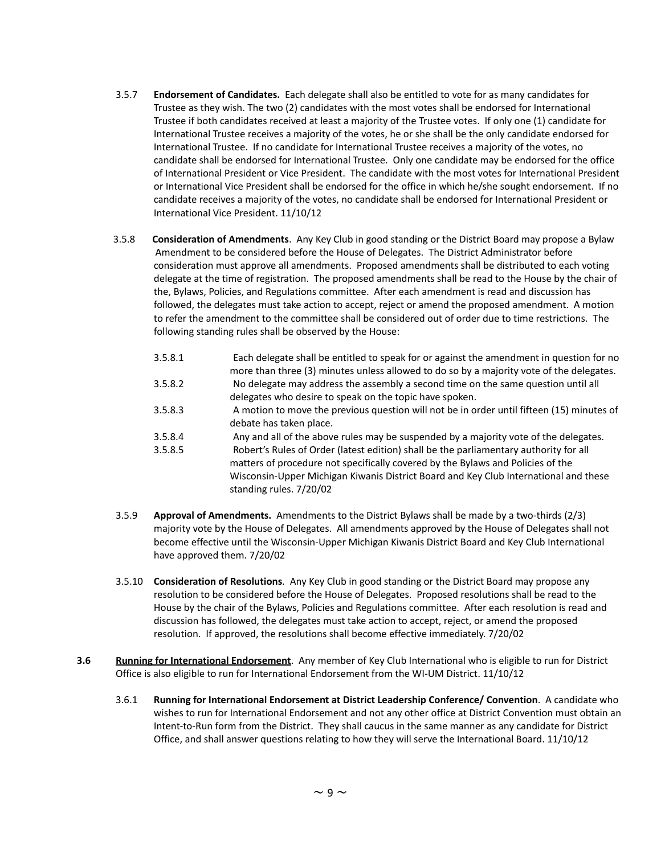- 3.5.7 **Endorsement of Candidates.** Each delegate shall also be entitled to vote for as many candidates for Trustee as they wish. The two (2) candidates with the most votes shall be endorsed for International Trustee if both candidates received at least a majority of the Trustee votes. If only one (1) candidate for International Trustee receives a majority of the votes, he or she shall be the only candidate endorsed for International Trustee. If no candidate for International Trustee receives a majority of the votes, no candidate shall be endorsed for International Trustee. Only one candidate may be endorsed for the office of International President or Vice President. The candidate with the most votes for International President or International Vice President shall be endorsed for the office in which he/she sought endorsement. If no candidate receives a majority of the votes, no candidate shall be endorsed for International President or International Vice President. 11/10/12
- 3.5.8 **Consideration of Amendments**. Any Key Club in good standing or the District Board may propose a Bylaw Amendment to be considered before the House of Delegates. The District Administrator before consideration must approve all amendments. Proposed amendments shall be distributed to each voting delegate at the time of registration. The proposed amendments shall be read to the House by the chair of the, Bylaws, Policies, and Regulations committee. After each amendment is read and discussion has followed, the delegates must take action to accept, reject or amend the proposed amendment. A motion to refer the amendment to the committee shall be considered out of order due to time restrictions. The following standing rules shall be observed by the House:
	- 3.5.8.1 Each delegate shall be entitled to speak for or against the amendment in question for no
	- more than three (3) minutes unless allowed to do so by a majority vote of the delegates. 3.5.8.2 No delegate may address the assembly a second time on the same question until all delegates who desire to speak on the topic have spoken.
	- 3.5.8.3 A motion to move the previous question will not be in order until fifteen (15) minutes of debate has taken place.
	- 3.5.8.4 Any and all of the above rules may be suspended by a majority vote of the delegates.
	- 3.5.8.5 Robert's Rules of Order (latest edition) shall be the parliamentary authority for all matters of procedure not specifically covered by the Bylaws and Policies of the Wisconsin-Upper Michigan Kiwanis District Board and Key Club International and these standing rules. 7/20/02
- 3.5.9 **Approval of Amendments.** Amendments to the District Bylaws shall be made by a two-thirds (2/3) majority vote by the House of Delegates. All amendments approved by the House of Delegates shall not become effective until the Wisconsin-Upper Michigan Kiwanis District Board and Key Club International have approved them. 7/20/02
- 3.5.10 **Consideration of Resolutions**. Any Key Club in good standing or the District Board may propose any resolution to be considered before the House of Delegates. Proposed resolutions shall be read to the House by the chair of the Bylaws, Policies and Regulations committee. After each resolution is read and discussion has followed, the delegates must take action to accept, reject, or amend the proposed resolution. If approved, the resolutions shall become effective immediately. 7/20/02
- **3.6 Running for International Endorsement**. Any member of Key Club International who is eligible to run for District Office is also eligible to run for International Endorsement from the WI-UM District. 11/10/12
	- 3.6.1 **Running for International Endorsement at District Leadership Conference/ Convention**. A candidate who wishes to run for International Endorsement and not any other office at District Convention must obtain an Intent-to-Run form from the District. They shall caucus in the same manner as any candidate for District Office, and shall answer questions relating to how they will serve the International Board. 11/10/12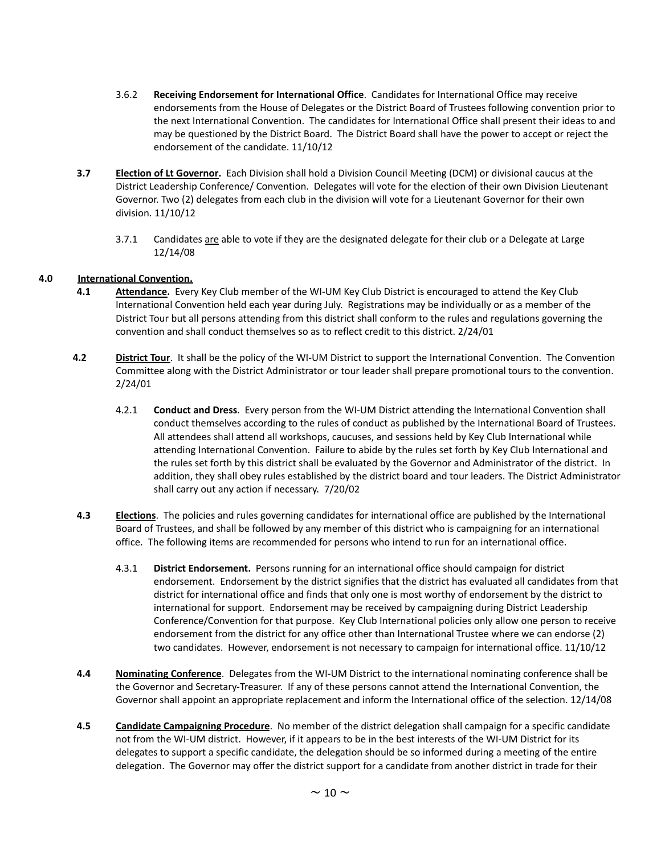- 3.6.2 **Receiving Endorsement for International Office**. Candidates for International Office may receive endorsements from the House of Delegates or the District Board of Trustees following convention prior to the next International Convention. The candidates for International Office shall present their ideas to and may be questioned by the District Board. The District Board shall have the power to accept or reject the endorsement of the candidate. 11/10/12
- **3.7 Election of Lt Governor.** Each Division shall hold a Division Council Meeting (DCM) or divisional caucus at the District Leadership Conference/ Convention. Delegates will vote for the election of their own Division Lieutenant Governor. Two (2) delegates from each club in the division will vote for a Lieutenant Governor for their own division. 11/10/12
	- 3.7.1 Candidates are able to vote if they are the designated delegate for their club or a Delegate at Large 12/14/08

## **4.0 International Convention.**

- **4.1 Attendance.** Every Key Club member of the WI-UM Key Club District is encouraged to attend the Key Club International Convention held each year during July. Registrations may be individually or as a member of the District Tour but all persons attending from this district shall conform to the rules and regulations governing the convention and shall conduct themselves so as to reflect credit to this district. 2/24/01
- **4.2 District Tour**. It shall be the policy of the WI-UM District to support the International Convention. The Convention Committee along with the District Administrator or tour leader shall prepare promotional tours to the convention. 2/24/01
	- 4.2.1 **Conduct and Dress**. Every person from the WI-UM District attending the International Convention shall conduct themselves according to the rules of conduct as published by the International Board of Trustees. All attendees shall attend all workshops, caucuses, and sessions held by Key Club International while attending International Convention. Failure to abide by the rules set forth by Key Club International and the rules set forth by this district shall be evaluated by the Governor and Administrator of the district. In addition, they shall obey rules established by the district board and tour leaders. The District Administrator shall carry out any action if necessary. 7/20/02
- **4.3 Elections**. The policies and rules governing candidates for international office are published by the International Board of Trustees, and shall be followed by any member of this district who is campaigning for an international office. The following items are recommended for persons who intend to run for an international office.
	- 4.3.1 **District Endorsement.** Persons running for an international office should campaign for district endorsement. Endorsement by the district signifies that the district has evaluated all candidates from that district for international office and finds that only one is most worthy of endorsement by the district to international for support. Endorsement may be received by campaigning during District Leadership Conference/Convention for that purpose. Key Club International policies only allow one person to receive endorsement from the district for any office other than International Trustee where we can endorse (2) two candidates. However, endorsement is not necessary to campaign for international office. 11/10/12
- **4.4 Nominating Conference**. Delegates from the WI-UM District to the international nominating conference shall be the Governor and Secretary-Treasurer. If any of these persons cannot attend the International Convention, the Governor shall appoint an appropriate replacement and inform the International office of the selection. 12/14/08
- **4.5 Candidate Campaigning Procedure**. No member of the district delegation shall campaign for a specific candidate not from the WI-UM district. However, if it appears to be in the best interests of the WI-UM District for its delegates to support a specific candidate, the delegation should be so informed during a meeting of the entire delegation. The Governor may offer the district support for a candidate from another district in trade for their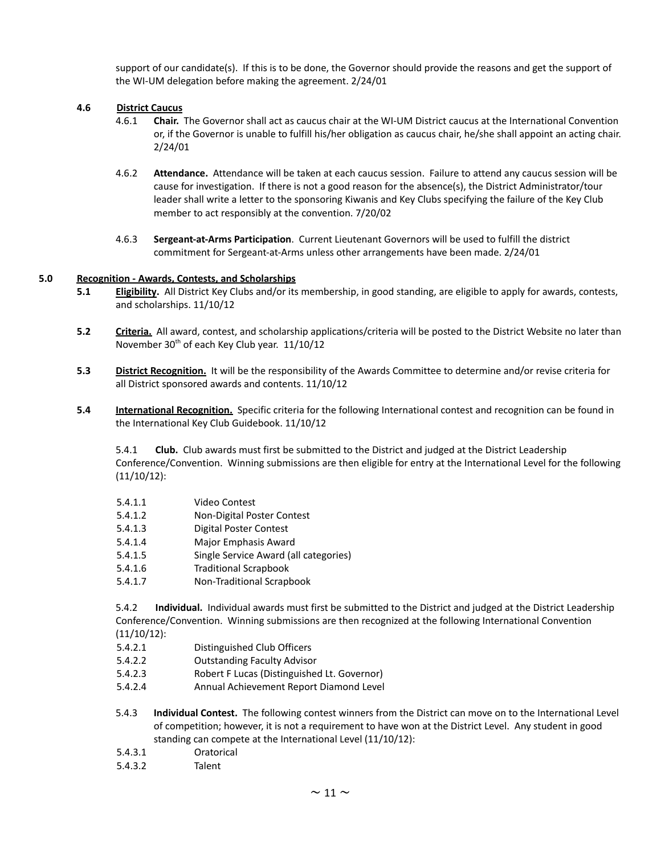support of our candidate(s). If this is to be done, the Governor should provide the reasons and get the support of the WI-UM delegation before making the agreement. 2/24/01

## **4.6 District Caucus**

- 4.6.1 **Chair.** The Governor shall act as caucus chair at the WI-UM District caucus at the International Convention or, if the Governor is unable to fulfill his/her obligation as caucus chair, he/she shall appoint an acting chair. 2/24/01
- 4.6.2 **Attendance.** Attendance will be taken at each caucus session. Failure to attend any caucus session will be cause for investigation. If there is not a good reason for the absence(s), the District Administrator/tour leader shall write a letter to the sponsoring Kiwanis and Key Clubs specifying the failure of the Key Club member to act responsibly at the convention. 7/20/02
- 4.6.3 **Sergeant-at-Arms Participation**. Current Lieutenant Governors will be used to fulfill the district commitment for Sergeant-at-Arms unless other arrangements have been made. 2/24/01

## **5.0 Recognition - Awards, Contests, and Scholarships**

- **5.1 Eligibility.** All District Key Clubs and/or its membership, in good standing, are eligible to apply for awards, contests, and scholarships. 11/10/12
- **5.2 Criteria.** All award, contest, and scholarship applications/criteria will be posted to the District Website no later than November 30<sup>th</sup> of each Key Club year. 11/10/12
- **5.3 District Recognition.** It will be the responsibility of the Awards Committee to determine and/or revise criteria for all District sponsored awards and contents. 11/10/12
- **5.4 International Recognition.** Specific criteria for the following International contest and recognition can be found in the International Key Club Guidebook. 11/10/12

5.4.1 **Club.** Club awards must first be submitted to the District and judged at the District Leadership Conference/Convention. Winning submissions are then eligible for entry at the International Level for the following (11/10/12):

- 5.4.1.1 Video Contest
- 5.4.1.2 Non-Digital Poster Contest
- 5.4.1.3 Digital Poster Contest
- 5.4.1.4 Major Emphasis Award
- 5.4.1.5 Single Service Award (all categories)
- 5.4.1.6 Traditional Scrapbook
- 5.4.1.7 Non-Traditional Scrapbook

5.4.2 **Individual.** Individual awards must first be submitted to the District and judged at the District Leadership Conference/Convention. Winning submissions are then recognized at the following International Convention (11/10/12):

- 5.4.2.1 Distinguished Club Officers
- 5.4.2.2 Outstanding Faculty Advisor
- 5.4.2.3 Robert F Lucas (Distinguished Lt. Governor)
- 5.4.2.4 Annual Achievement Report Diamond Level
- 5.4.3 **Individual Contest.** The following contest winners from the District can move on to the International Level of competition; however, it is not a requirement to have won at the District Level. Any student in good standing can compete at the International Level (11/10/12):
- 5.4.3.1 Oratorical
- 5.4.3.2 Talent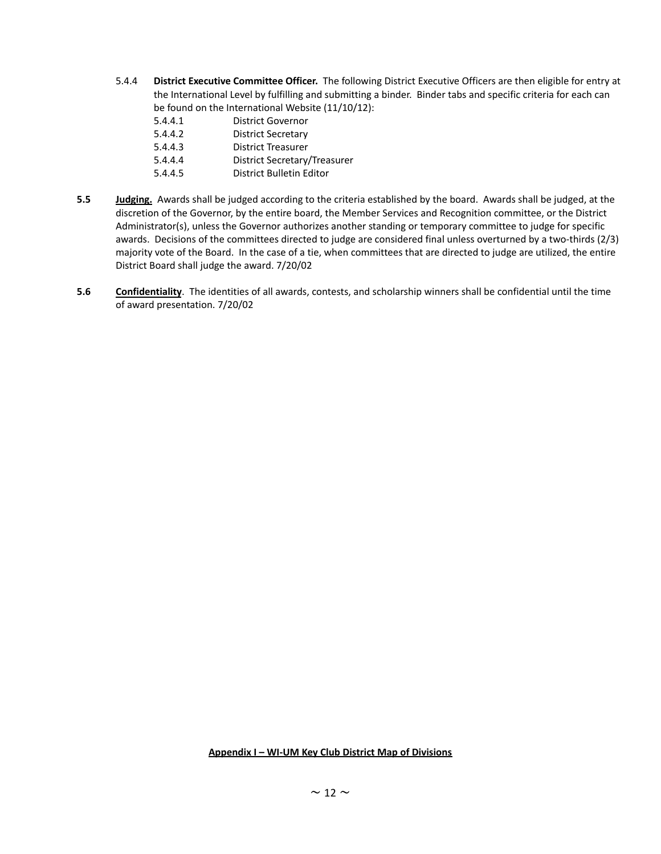5.4.4 **District Executive Committee Officer.** The following District Executive Officers are then eligible for entry at the International Level by fulfilling and submitting a binder. Binder tabs and specific criteria for each can be found on the International Website (11/10/12):

| 5.4.4.1 | <b>District Governor</b>            |
|---------|-------------------------------------|
| 5.4.4.2 | <b>District Secretary</b>           |
| 5.4.4.3 | <b>District Treasurer</b>           |
| 5.4.4.4 | <b>District Secretary/Treasurer</b> |
| 5.4.4.5 | District Bulletin Editor            |

- **5.5 Judging.** Awards shall be judged according to the criteria established by the board. Awards shall be judged, at the discretion of the Governor, by the entire board, the Member Services and Recognition committee, or the District Administrator(s), unless the Governor authorizes another standing or temporary committee to judge for specific awards. Decisions of the committees directed to judge are considered final unless overturned by a two-thirds (2/3) majority vote of the Board. In the case of a tie, when committees that are directed to judge are utilized, the entire District Board shall judge the award. 7/20/02
- **5.6 Confidentiality**. The identities of all awards, contests, and scholarship winners shall be confidential until the time of award presentation. 7/20/02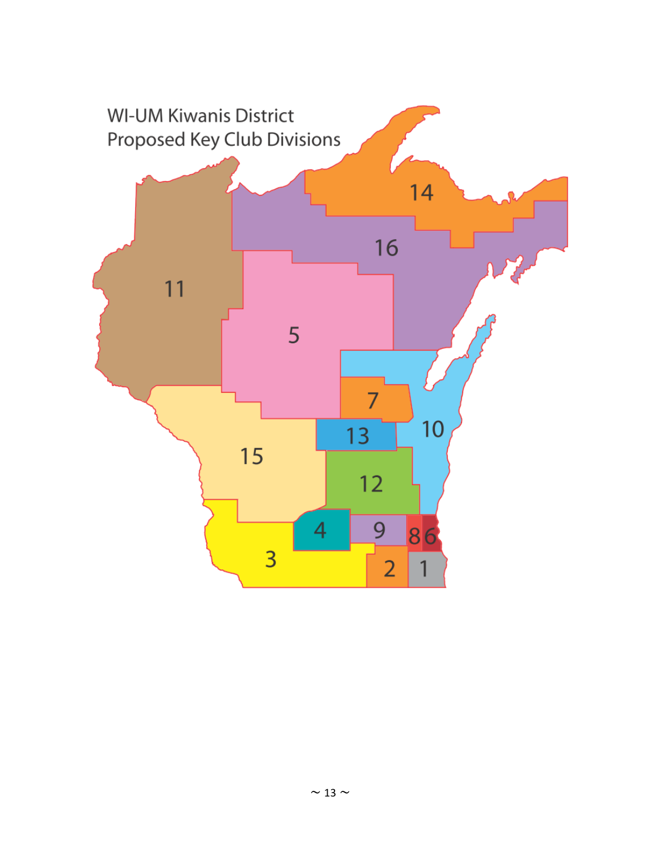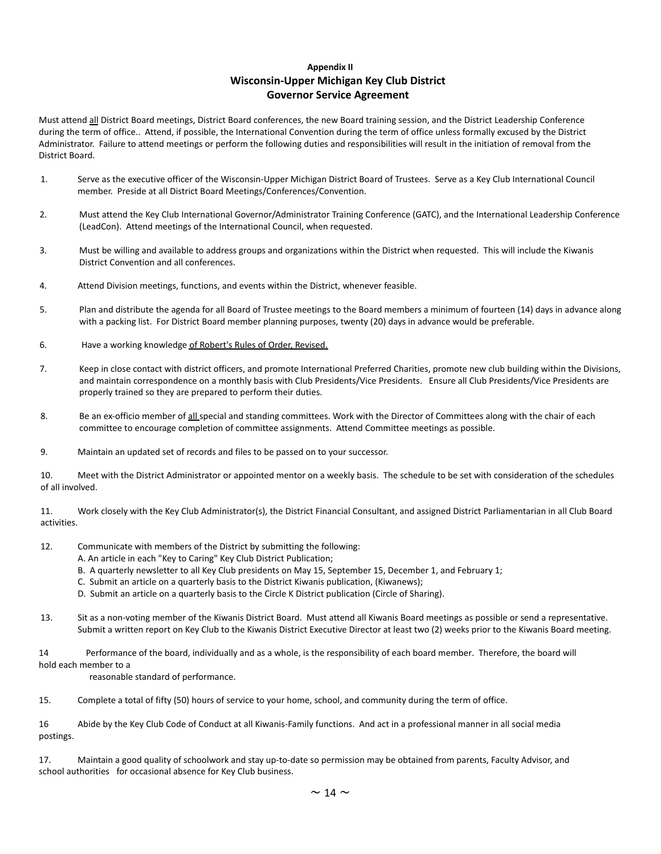## **Appendix II Wisconsin-Upper Michigan Key Club District Governor Service Agreement**

Must attend all District Board meetings, District Board conferences, the new Board training session, and the District Leadership Conference during the term of office.. Attend, if possible, the International Convention during the term of office unless formally excused by the District Administrator. Failure to attend meetings or perform the following duties and responsibilities will result in the initiation of removal from the District Board.

- 1. Serve as the executive officer of the Wisconsin-Upper Michigan District Board of Trustees. Serve as a Key Club International Council member. Preside at all District Board Meetings/Conferences/Convention.
- 2. Must attend the Key Club International Governor/Administrator Training Conference (GATC), and the International Leadership Conference (LeadCon). Attend meetings of the International Council, when requested.
- 3. Must be willing and available to address groups and organizations within the District when requested. This will include the Kiwanis District Convention and all conferences.
- 4. Attend Division meetings, functions, and events within the District, whenever feasible.
- 5. Plan and distribute the agenda for all Board of Trustee meetings to the Board members a minimum of fourteen (14) days in advance along with a packing list. For District Board member planning purposes, twenty (20) days in advance would be preferable.
- 6. Have a working knowledge of Robert's Rules of Order, Revised.
- 7. Keep in close contact with district officers, and promote International Preferred Charities, promote new club building within the Divisions, and maintain correspondence on a monthly basis with Club Presidents/Vice Presidents. Ensure all Club Presidents/Vice Presidents are properly trained so they are prepared to perform their duties.
- 8. Be an ex-officio member of all special and standing committees. Work with the Director of Committees along with the chair of each committee to encourage completion of committee assignments. Attend Committee meetings as possible.
- 9. Maintain an updated set of records and files to be passed on to your successor.

10. Meet with the District Administrator or appointed mentor on a weekly basis. The schedule to be set with consideration of the schedules of all involved.

11. Work closely with the Key Club Administrator(s), the District Financial Consultant, and assigned District Parliamentarian in all Club Board activities.

- 12. Communicate with members of the District by submitting the following:
	- A. An article in each "Key to Caring" Key Club District Publication;
	- B. A quarterly newsletter to all Key Club presidents on May 15, September 15, December 1, and February 1;
	- C. Submit an article on a quarterly basis to the District Kiwanis publication, (Kiwanews);
	- D. Submit an article on a quarterly basis to the Circle K District publication (Circle of Sharing).
- 13. Sit as a non-voting member of the Kiwanis District Board. Must attend all Kiwanis Board meetings as possible or send a representative. Submit a written report on Key Club to the Kiwanis District Executive Director at least two (2) weeks prior to the Kiwanis Board meeting.

14 Performance of the board, individually and as a whole, is the responsibility of each board member. Therefore, the board will hold each member to a

reasonable standard of performance.

15. Complete a total of fifty (50) hours of service to your home, school, and community during the term of office.

16 Abide by the Key Club Code of Conduct at all Kiwanis-Family functions. And act in a professional manner in all social media postings.

17. Maintain a good quality of schoolwork and stay up-to-date so permission may be obtained from parents, Faculty Advisor, and school authorities for occasional absence for Key Club business.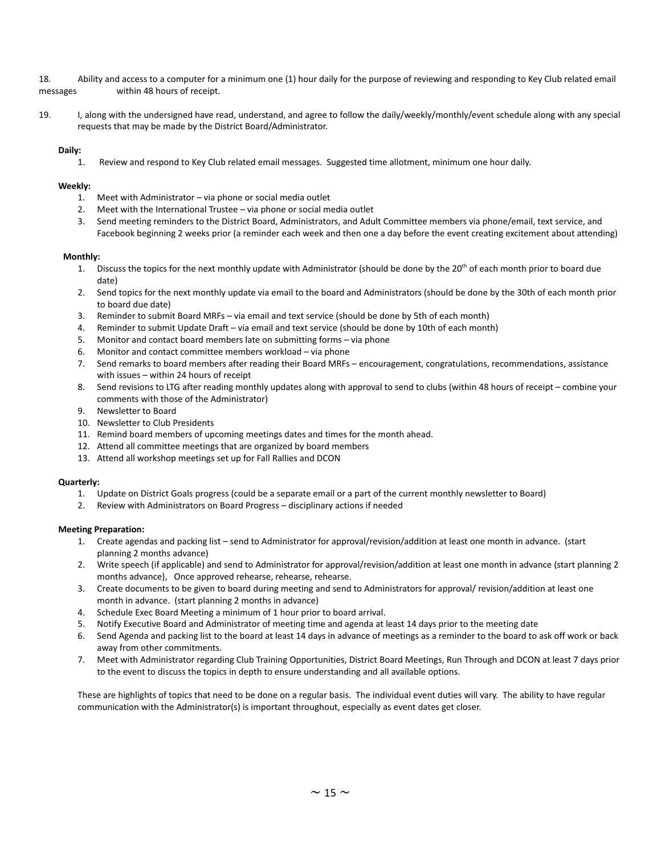18. Ability and access to a computer for a minimum one (1) hour daily for the purpose of reviewing and responding to Key Club related email messages within 48 hours of receipt.

19. I, along with the undersigned have read, understand, and agree to follow the daily/weekly/monthly/event schedule along with any special requests that may be made by the District Board/Administrator.

#### **Daily:**

1. Review and respond to Key Club related email messages. Suggested time allotment, minimum one hour daily.

#### **Weekly:**

- 1. Meet with Administrator via phone or social media outlet
- 2. Meet with the International Trustee via phone or social media outlet
- 3. Send meeting reminders to the District Board, Administrators, and Adult Committee members via phone/email, text service, and Facebook beginning 2 weeks prior (a reminder each week and then one a day before the event creating excitement about attending)

#### **Monthly:**

- 1. Discuss the topics for the next monthly update with Administrator (should be done by the  $20<sup>th</sup>$  of each month prior to board due date)
- 2. Send topics for the next monthly update via email to the board and Administrators (should be done by the 30th of each month prior to board due date)
- 3. Reminder to submit Board MRFs via email and text service (should be done by 5th of each month)
- 4. Reminder to submit Update Draft via email and text service (should be done by 10th of each month)
- 5. Monitor and contact board members late on submitting forms via phone
- 6. Monitor and contact committee members workload via phone
- 7. Send remarks to board members after reading their Board MRFs encouragement, congratulations, recommendations, assistance with issues – within 24 hours of receipt
- 8. Send revisions to LTG after reading monthly updates along with approval to send to clubs (within 48 hours of receipt combine your comments with those of the Administrator)
- 9. Newsletter to Board
- 10. Newsletter to Club Presidents
- 11. Remind board members of upcoming meetings dates and times for the month ahead.
- 12. Attend all committee meetings that are organized by board members
- 13. Attend all workshop meetings set up for Fall Rallies and DCON

#### **Quarterly:**

- 1. Update on District Goals progress (could be a separate email or a part of the current monthly newsletter to Board)
- 2. Review with Administrators on Board Progress disciplinary actions if needed

#### **Meeting Preparation:**

- 1. Create agendas and packing list send to Administrator for approval/revision/addition at least one month in advance. (start planning 2 months advance)
- 2. Write speech (if applicable) and send to Administrator for approval/revision/addition at least one month in advance (start planning 2 months advance), Once approved rehearse, rehearse, rehearse.
- 3. Create documents to be given to board during meeting and send to Administrators for approval/ revision/addition at least one month in advance. (start planning 2 months in advance)
- 4. Schedule Exec Board Meeting a minimum of 1 hour prior to board arrival.
- 5. Notify Executive Board and Administrator of meeting time and agenda at least 14 days prior to the meeting date
- 6. Send Agenda and packing list to the board at least 14 days in advance of meetings as a reminder to the board to ask off work or back away from other commitments.
- 7. Meet with Administrator regarding Club Training Opportunities, District Board Meetings, Run Through and DCON at least 7 days prior to the event to discuss the topics in depth to ensure understanding and all available options.

These are highlights of topics that need to be done on a regular basis. The individual event duties will vary. The ability to have regular communication with the Administrator(s) is important throughout, especially as event dates get closer.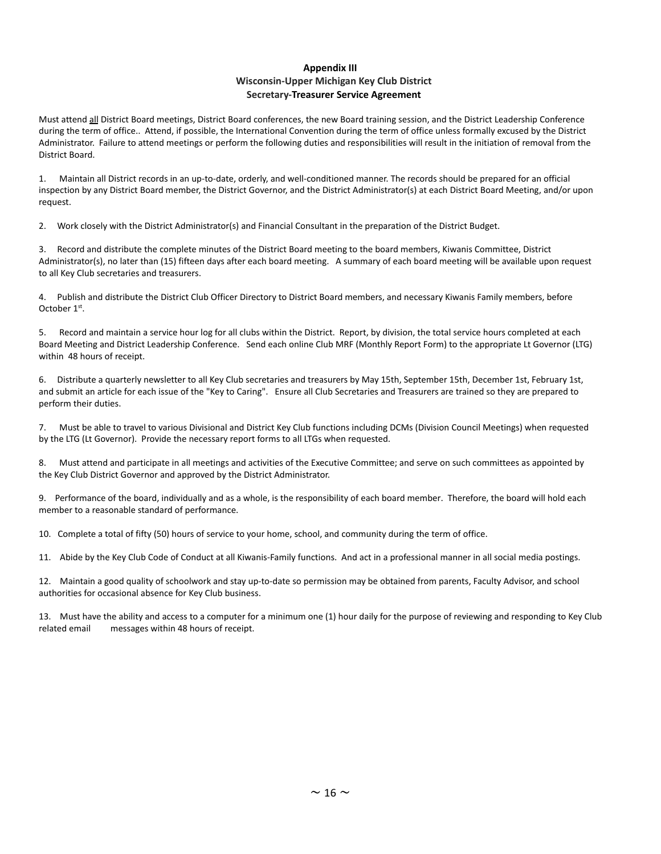## **Appendix III Wisconsin-Upper Michigan Key Club District Secretary-Treasurer Service Agreement**

Must attend all District Board meetings, District Board conferences, the new Board training session, and the District Leadership Conference during the term of office.. Attend, if possible, the International Convention during the term of office unless formally excused by the District Administrator. Failure to attend meetings or perform the following duties and responsibilities will result in the initiation of removal from the District Board.

1. Maintain all District records in an up-to-date, orderly, and well-conditioned manner. The records should be prepared for an official inspection by any District Board member, the District Governor, and the District Administrator(s) at each District Board Meeting, and/or upon request.

2. Work closely with the District Administrator(s) and Financial Consultant in the preparation of the District Budget.

3. Record and distribute the complete minutes of the District Board meeting to the board members, Kiwanis Committee, District Administrator(s), no later than (15) fifteen days after each board meeting. A summary of each board meeting will be available upon request to all Key Club secretaries and treasurers.

4. Publish and distribute the District Club Officer Directory to District Board members, and necessary Kiwanis Family members, before October 1<sup>st</sup>.

5. Record and maintain a service hour log for all clubs within the District. Report, by division, the total service hours completed at each Board Meeting and District Leadership Conference. Send each online Club MRF (Monthly Report Form) to the appropriate Lt Governor (LTG) within 48 hours of receipt.

6. Distribute a quarterly newsletter to all Key Club secretaries and treasurers by May 15th, September 15th, December 1st, February 1st, and submit an article for each issue of the "Key to Caring". Ensure all Club Secretaries and Treasurers are trained so they are prepared to perform their duties.

7. Must be able to travel to various Divisional and District Key Club functions including DCMs (Division Council Meetings) when requested by the LTG (Lt Governor). Provide the necessary report forms to all LTGs when requested.

8. Must attend and participate in all meetings and activities of the Executive Committee; and serve on such committees as appointed by the Key Club District Governor and approved by the District Administrator.

9. Performance of the board, individually and as a whole, is the responsibility of each board member. Therefore, the board will hold each member to a reasonable standard of performance.

10. Complete a total of fifty (50) hours of service to your home, school, and community during the term of office.

11. Abide by the Key Club Code of Conduct at all Kiwanis-Family functions. And act in a professional manner in all social media postings.

12. Maintain a good quality of schoolwork and stay up-to-date so permission may be obtained from parents, Faculty Advisor, and school authorities for occasional absence for Key Club business.

13. Must have the ability and access to a computer for a minimum one (1) hour daily for the purpose of reviewing and responding to Key Club related email messages within 48 hours of receipt.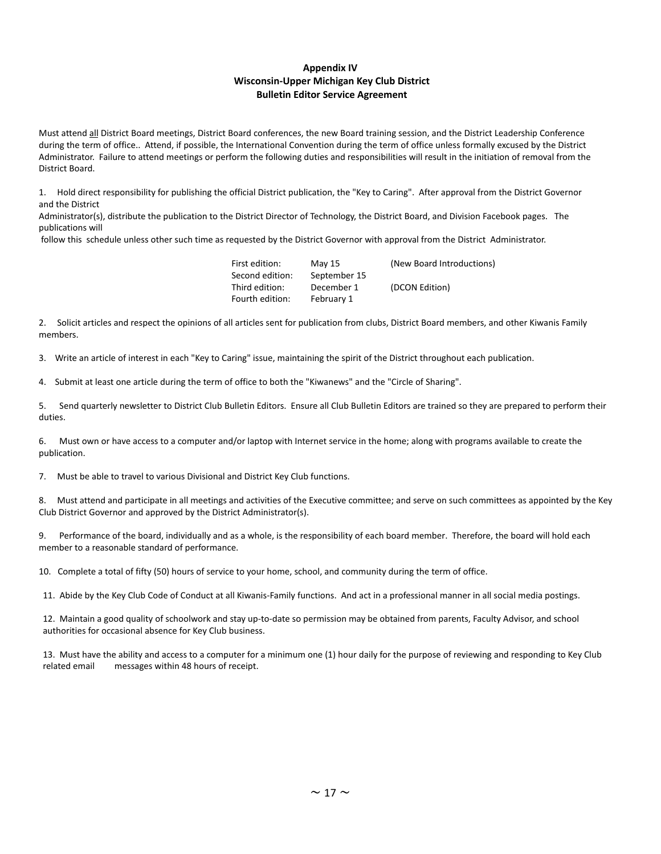## **Appendix IV Wisconsin-Upper Michigan Key Club District Bulletin Editor Service Agreement**

Must attend all District Board meetings, District Board conferences, the new Board training session, and the District Leadership Conference during the term of office.. Attend, if possible, the International Convention during the term of office unless formally excused by the District Administrator. Failure to attend meetings or perform the following duties and responsibilities will result in the initiation of removal from the District Board.

1. Hold direct responsibility for publishing the official District publication, the "Key to Caring". After approval from the District Governor and the District

Administrator(s), distribute the publication to the District Director of Technology, the District Board, and Division Facebook pages. The publications will

follow this schedule unless other such time as requested by the District Governor with approval from the District Administrator.

| May 15       | (New Board Introductions) |
|--------------|---------------------------|
| September 15 |                           |
| December 1   | (DCON Edition)            |
| February 1   |                           |
|              |                           |

2. Solicit articles and respect the opinions of all articles sent for publication from clubs, District Board members, and other Kiwanis Family members.

3. Write an article of interest in each "Key to Caring" issue, maintaining the spirit of the District throughout each publication.

4. Submit at least one article during the term of office to both the "Kiwanews" and the "Circle of Sharing".

5. Send quarterly newsletter to District Club Bulletin Editors. Ensure all Club Bulletin Editors are trained so they are prepared to perform their duties.

6. Must own or have access to a computer and/or laptop with Internet service in the home; along with programs available to create the publication.

7. Must be able to travel to various Divisional and District Key Club functions.

8. Must attend and participate in all meetings and activities of the Executive committee; and serve on such committees as appointed by the Key Club District Governor and approved by the District Administrator(s).

9. Performance of the board, individually and as a whole, is the responsibility of each board member. Therefore, the board will hold each member to a reasonable standard of performance.

10. Complete a total of fifty (50) hours of service to your home, school, and community during the term of office.

11. Abide by the Key Club Code of Conduct at all Kiwanis-Family functions. And act in a professional manner in all social media postings.

12. Maintain a good quality of schoolwork and stay up-to-date so permission may be obtained from parents, Faculty Advisor, and school authorities for occasional absence for Key Club business.

13. Must have the ability and access to a computer for a minimum one (1) hour daily for the purpose of reviewing and responding to Key Club related email messages within 48 hours of receipt.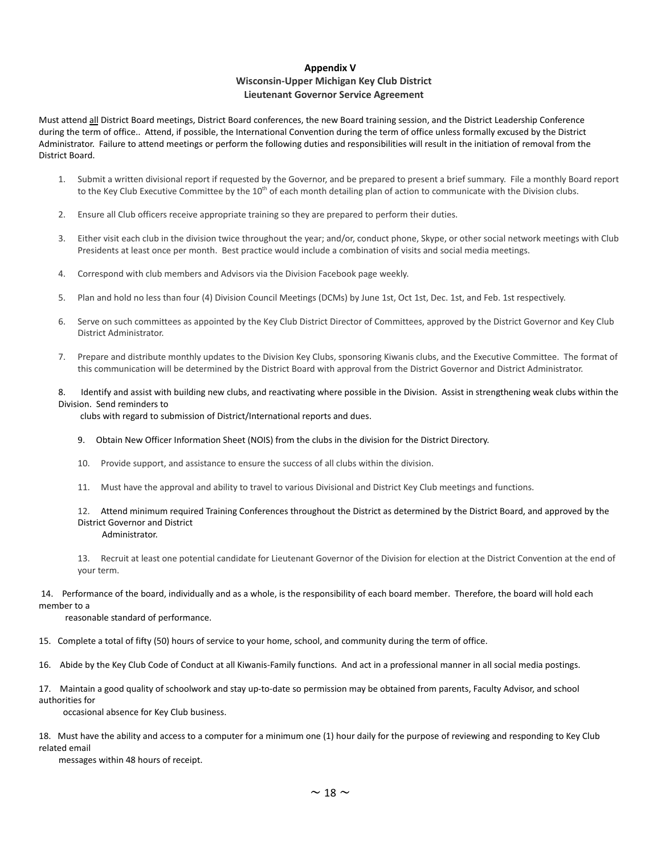## **Appendix V Wisconsin-Upper Michigan Key Club District Lieutenant Governor Service Agreement**

Must attend all District Board meetings, District Board conferences, the new Board training session, and the District Leadership Conference during the term of office.. Attend, if possible, the International Convention during the term of office unless formally excused by the District Administrator. Failure to attend meetings or perform the following duties and responsibilities will result in the initiation of removal from the District Board.

- 1. Submit a written divisional report if requested by the Governor, and be prepared to present a brief summary. File a monthly Board report to the Key Club Executive Committee by the 10<sup>th</sup> of each month detailing plan of action to communicate with the Division clubs.
- 2. Ensure all Club officers receive appropriate training so they are prepared to perform their duties.
- 3. Either visit each club in the division twice throughout the year; and/or, conduct phone, Skype, or other social network meetings with Club Presidents at least once per month. Best practice would include a combination of visits and social media meetings.
- 4. Correspond with club members and Advisors via the Division Facebook page weekly.
- 5. Plan and hold no less than four (4) Division Council Meetings (DCMs) by June 1st, Oct 1st, Dec. 1st, and Feb. 1st respectively.
- 6. Serve on such committees as appointed by the Key Club District Director of Committees, approved by the District Governor and Key Club District Administrator.
- 7. Prepare and distribute monthly updates to the Division Key Clubs, sponsoring Kiwanis clubs, and the Executive Committee. The format of this communication will be determined by the District Board with approval from the District Governor and District Administrator.

8. Identify and assist with building new clubs, and reactivating where possible in the Division. Assist in strengthening weak clubs within the Division. Send reminders to

clubs with regard to submission of District/International reports and dues.

- 9. Obtain New Officer Information Sheet (NOIS) from the clubs in the division for the District Directory.
- 10. Provide support, and assistance to ensure the success of all clubs within the division.
- 11. Must have the approval and ability to travel to various Divisional and District Key Club meetings and functions.

#### 12. Attend minimum required Training Conferences throughout the District as determined by the District Board, and approved by the District Governor and District Administrator.

13. Recruit at least one potential candidate for Lieutenant Governor of the Division for election at the District Convention at the end of your term.

#### 14. Performance of the board, individually and as a whole, is the responsibility of each board member. Therefore, the board will hold each member to a

reasonable standard of performance.

15. Complete a total of fifty (50) hours of service to your home, school, and community during the term of office.

16. Abide by the Key Club Code of Conduct at all Kiwanis-Family functions. And act in a professional manner in all social media postings.

17. Maintain a good quality of schoolwork and stay up-to-date so permission may be obtained from parents, Faculty Advisor, and school authorities for

occasional absence for Key Club business.

18. Must have the ability and access to a computer for a minimum one (1) hour daily for the purpose of reviewing and responding to Key Club related email

messages within 48 hours of receipt.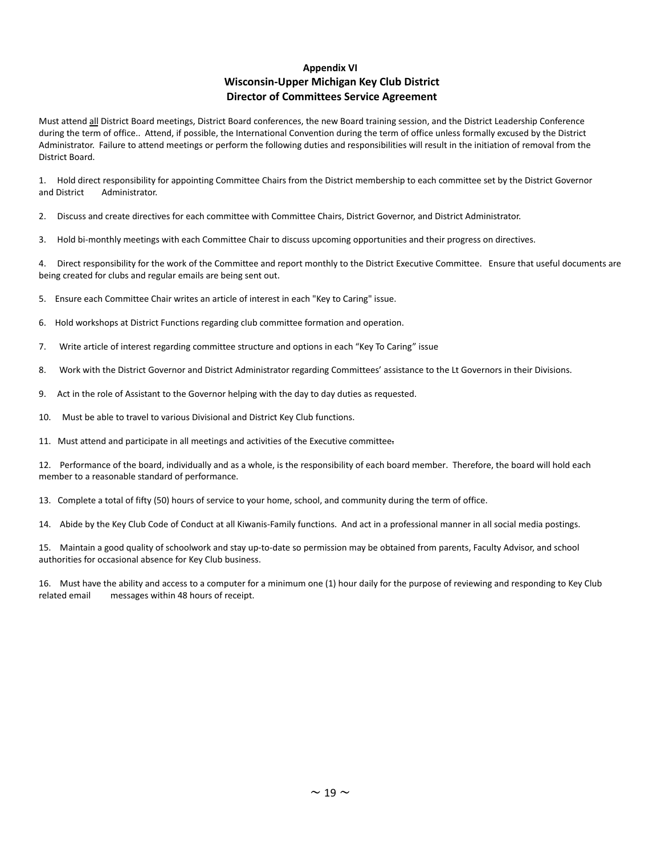## **Appendix VI Wisconsin-Upper Michigan Key Club District Director of Committees Service Agreement**

Must attend all District Board meetings, District Board conferences, the new Board training session, and the District Leadership Conference during the term of office.. Attend, if possible, the International Convention during the term of office unless formally excused by the District Administrator. Failure to attend meetings or perform the following duties and responsibilities will result in the initiation of removal from the District Board.

1. Hold direct responsibility for appointing Committee Chairs from the District membership to each committee set by the District Governor and District Administrator.

2. Discuss and create directives for each committee with Committee Chairs, District Governor, and District Administrator.

3. Hold bi-monthly meetings with each Committee Chair to discuss upcoming opportunities and their progress on directives.

4. Direct responsibility for the work of the Committee and report monthly to the District Executive Committee. Ensure that useful documents are being created for clubs and regular emails are being sent out.

5. Ensure each Committee Chair writes an article of interest in each "Key to Caring" issue.

6. Hold workshops at District Functions regarding club committee formation and operation.

7. Write article of interest regarding committee structure and options in each "Key To Caring" issue

8. Work with the District Governor and District Administrator regarding Committees' assistance to the Lt Governors in their Divisions.

9. Act in the role of Assistant to the Governor helping with the day to day duties as requested.

10. Must be able to travel to various Divisional and District Key Club functions.

11. Must attend and participate in all meetings and activities of the Executive committee.

12. Performance of the board, individually and as a whole, is the responsibility of each board member. Therefore, the board will hold each member to a reasonable standard of performance.

13. Complete a total of fifty (50) hours of service to your home, school, and community during the term of office.

14. Abide by the Key Club Code of Conduct at all Kiwanis-Family functions. And act in a professional manner in all social media postings.

15. Maintain a good quality of schoolwork and stay up-to-date so permission may be obtained from parents, Faculty Advisor, and school authorities for occasional absence for Key Club business.

16. Must have the ability and access to a computer for a minimum one (1) hour daily for the purpose of reviewing and responding to Key Club related email messages within 48 hours of receipt.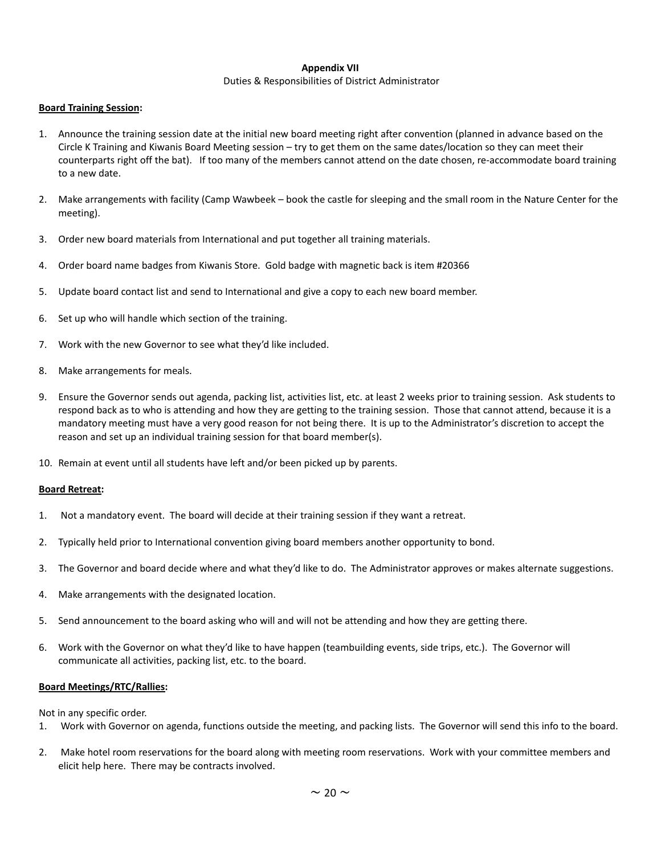#### **Appendix VII**

#### Duties & Responsibilities of District Administrator

#### **Board Training Session:**

- 1. Announce the training session date at the initial new board meeting right after convention (planned in advance based on the Circle K Training and Kiwanis Board Meeting session – try to get them on the same dates/location so they can meet their counterparts right off the bat). If too many of the members cannot attend on the date chosen, re-accommodate board training to a new date.
- 2. Make arrangements with facility (Camp Wawbeek book the castle for sleeping and the small room in the Nature Center for the meeting).
- 3. Order new board materials from International and put together all training materials.
- 4. Order board name badges from Kiwanis Store. Gold badge with magnetic back is item #20366
- 5. Update board contact list and send to International and give a copy to each new board member.
- 6. Set up who will handle which section of the training.
- 7. Work with the new Governor to see what they'd like included.
- 8. Make arrangements for meals.
- 9. Ensure the Governor sends out agenda, packing list, activities list, etc. at least 2 weeks prior to training session. Ask students to respond back as to who is attending and how they are getting to the training session. Those that cannot attend, because it is a mandatory meeting must have a very good reason for not being there. It is up to the Administrator's discretion to accept the reason and set up an individual training session for that board member(s).
- 10. Remain at event until all students have left and/or been picked up by parents.

#### **Board Retreat:**

- 1. Not a mandatory event. The board will decide at their training session if they want a retreat.
- 2. Typically held prior to International convention giving board members another opportunity to bond.
- 3. The Governor and board decide where and what they'd like to do. The Administrator approves or makes alternate suggestions.
- 4. Make arrangements with the designated location.
- 5. Send announcement to the board asking who will and will not be attending and how they are getting there.
- 6. Work with the Governor on what they'd like to have happen (teambuilding events, side trips, etc.). The Governor will communicate all activities, packing list, etc. to the board.

### **Board Meetings/RTC/Rallies:**

Not in any specific order.

- 1. Work with Governor on agenda, functions outside the meeting, and packing lists. The Governor will send this info to the board.
- 2. Make hotel room reservations for the board along with meeting room reservations. Work with your committee members and elicit help here. There may be contracts involved.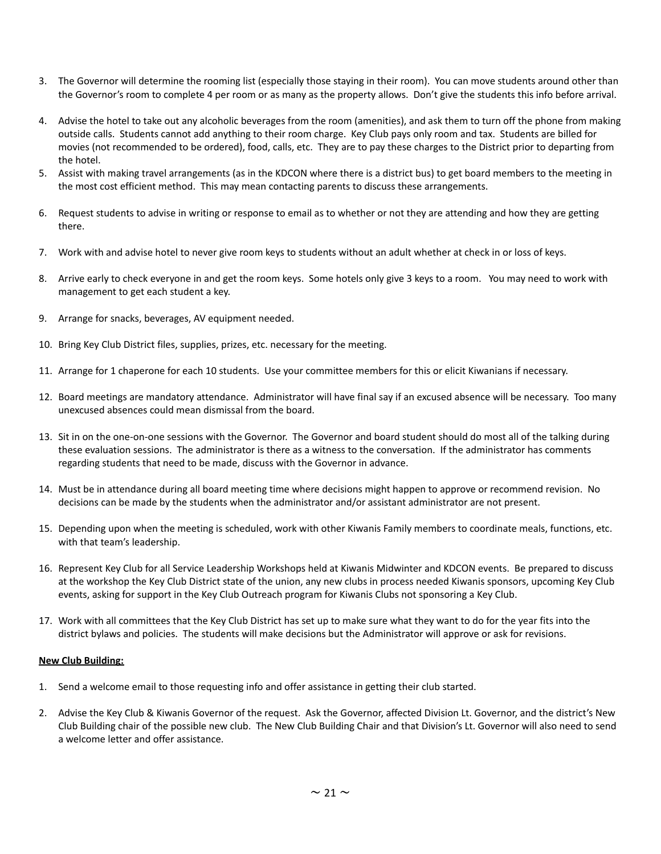- 3. The Governor will determine the rooming list (especially those staying in their room). You can move students around other than the Governor's room to complete 4 per room or as many as the property allows. Don't give the students this info before arrival.
- 4. Advise the hotel to take out any alcoholic beverages from the room (amenities), and ask them to turn off the phone from making outside calls. Students cannot add anything to their room charge. Key Club pays only room and tax. Students are billed for movies (not recommended to be ordered), food, calls, etc. They are to pay these charges to the District prior to departing from the hotel.
- 5. Assist with making travel arrangements (as in the KDCON where there is a district bus) to get board members to the meeting in the most cost efficient method. This may mean contacting parents to discuss these arrangements.
- 6. Request students to advise in writing or response to email as to whether or not they are attending and how they are getting there.
- 7. Work with and advise hotel to never give room keys to students without an adult whether at check in or loss of keys.
- 8. Arrive early to check everyone in and get the room keys. Some hotels only give 3 keys to a room. You may need to work with management to get each student a key.
- 9. Arrange for snacks, beverages, AV equipment needed.
- 10. Bring Key Club District files, supplies, prizes, etc. necessary for the meeting.
- 11. Arrange for 1 chaperone for each 10 students. Use your committee members for this or elicit Kiwanians if necessary.
- 12. Board meetings are mandatory attendance. Administrator will have final say if an excused absence will be necessary. Too many unexcused absences could mean dismissal from the board.
- 13. Sit in on the one-on-one sessions with the Governor. The Governor and board student should do most all of the talking during these evaluation sessions. The administrator is there as a witness to the conversation. If the administrator has comments regarding students that need to be made, discuss with the Governor in advance.
- 14. Must be in attendance during all board meeting time where decisions might happen to approve or recommend revision. No decisions can be made by the students when the administrator and/or assistant administrator are not present.
- 15. Depending upon when the meeting is scheduled, work with other Kiwanis Family members to coordinate meals, functions, etc. with that team's leadership.
- 16. Represent Key Club for all Service Leadership Workshops held at Kiwanis Midwinter and KDCON events. Be prepared to discuss at the workshop the Key Club District state of the union, any new clubs in process needed Kiwanis sponsors, upcoming Key Club events, asking for support in the Key Club Outreach program for Kiwanis Clubs not sponsoring a Key Club.
- 17. Work with all committees that the Key Club District has set up to make sure what they want to do for the year fits into the district bylaws and policies. The students will make decisions but the Administrator will approve or ask for revisions.

#### **New Club Building:**

- 1. Send a welcome email to those requesting info and offer assistance in getting their club started.
- 2. Advise the Key Club & Kiwanis Governor of the request. Ask the Governor, affected Division Lt. Governor, and the district's New Club Building chair of the possible new club. The New Club Building Chair and that Division's Lt. Governor will also need to send a welcome letter and offer assistance.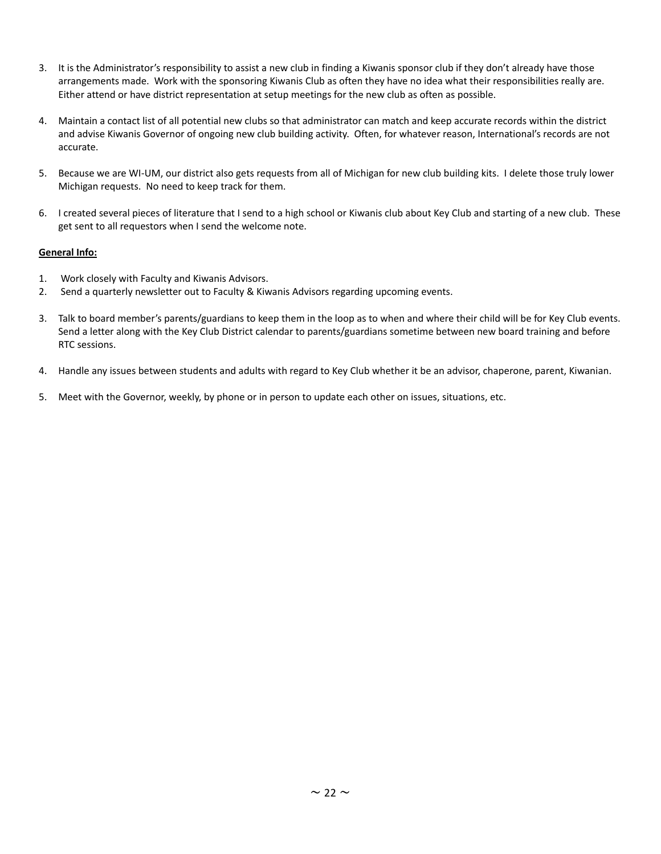- 3. It is the Administrator's responsibility to assist a new club in finding a Kiwanis sponsor club if they don't already have those arrangements made. Work with the sponsoring Kiwanis Club as often they have no idea what their responsibilities really are. Either attend or have district representation at setup meetings for the new club as often as possible.
- 4. Maintain a contact list of all potential new clubs so that administrator can match and keep accurate records within the district and advise Kiwanis Governor of ongoing new club building activity. Often, for whatever reason, International's records are not accurate.
- 5. Because we are WI-UM, our district also gets requests from all of Michigan for new club building kits. I delete those truly lower Michigan requests. No need to keep track for them.
- 6. I created several pieces of literature that I send to a high school or Kiwanis club about Key Club and starting of a new club. These get sent to all requestors when I send the welcome note.

## **General Info:**

- 1. Work closely with Faculty and Kiwanis Advisors.
- 2. Send a quarterly newsletter out to Faculty & Kiwanis Advisors regarding upcoming events.
- 3. Talk to board member's parents/guardians to keep them in the loop as to when and where their child will be for Key Club events. Send a letter along with the Key Club District calendar to parents/guardians sometime between new board training and before RTC sessions.
- 4. Handle any issues between students and adults with regard to Key Club whether it be an advisor, chaperone, parent, Kiwanian.
- 5. Meet with the Governor, weekly, by phone or in person to update each other on issues, situations, etc.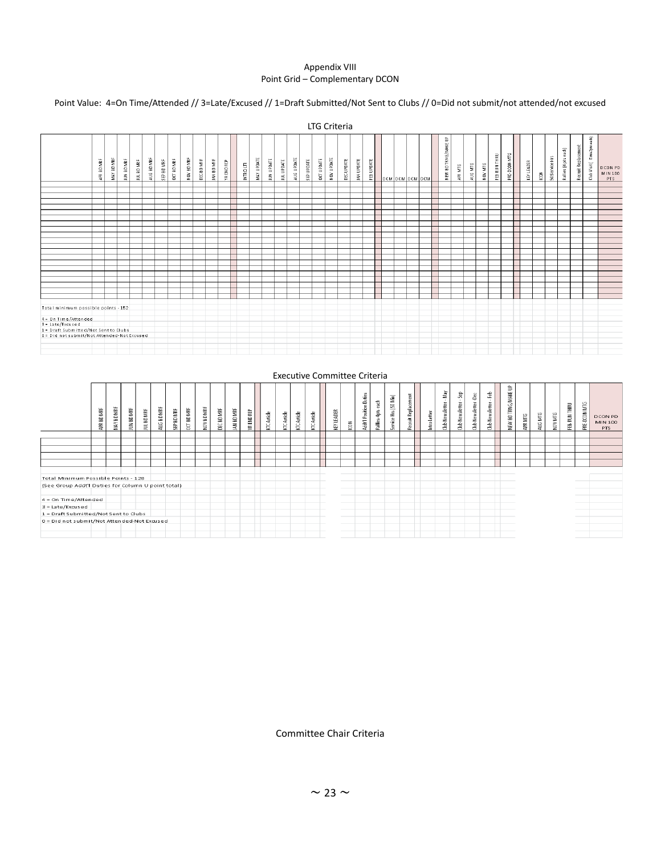### Appendix VIII Point Grid – Complementary DCON

# Point Value: 4=On Time/Attended // 3=Late/Excused // 1=Draft Submitted/Not Sent to Clubs // 0=Did not submit/not attended/not excused

|                                             |            |            |            |            |            |            |            |            |            |                   |            |           |            |            |                  |            |            |            | LTG Criteria |                  |                   |            |                        |  |                    |         |         |         |              |              |            |               |               |                      |                     |                                 |                             |
|---------------------------------------------|------------|------------|------------|------------|------------|------------|------------|------------|------------|-------------------|------------|-----------|------------|------------|------------------|------------|------------|------------|--------------|------------------|-------------------|------------|------------------------|--|--------------------|---------|---------|---------|--------------|--------------|------------|---------------|---------------|----------------------|---------------------|---------------------------------|-----------------------------|
|                                             | APR BD MRF | MAY BD MRF | JUN BD MRF | JUL BD MRF | AUG BD MRF | SEP BD MRF | OCT BD MRF | NOV BD MRF | DEC BD MRF | <b>JAN BD MRF</b> | YR END REP | INTRO LTR | MAY UPDATE | JUN UPDATE | <b>JULUPOATE</b> | AUG UPDATE | SEP UPDATE | OCT UPDATE | NOV UPDATE   | <b>DECUPDATE</b> | <b>JAN UPDATE</b> | FEB UPDATE | <b>DCM DCM DCM DCM</b> |  | NEW BDTRNG/MAKE UP | APR MTG | AUG MTG | NOV MTG | FEB RUN THRU | PRE-DCON MTG | KEY LEADER | $\tilde{\Xi}$ | 50Service Hrs | Rallies (4 pts each) | Recruit Replacement | Extra2pts each)<br>Club Visit ( | D CON PD<br>MIN 100<br>PTS. |
|                                             |            |            |            |            |            |            |            |            |            |                   |            |           |            |            |                  |            |            |            |              |                  |                   |            |                        |  |                    |         |         |         |              |              |            |               |               |                      |                     |                                 |                             |
|                                             |            |            |            |            |            |            |            |            |            |                   |            |           |            |            |                  |            |            |            |              |                  |                   |            |                        |  |                    |         |         |         |              |              |            |               |               |                      |                     |                                 |                             |
|                                             |            |            |            |            |            |            |            |            |            |                   |            |           |            |            |                  |            |            |            |              |                  |                   |            |                        |  |                    |         |         |         |              |              |            |               |               |                      |                     |                                 |                             |
|                                             |            |            |            |            |            |            |            |            |            |                   |            |           |            |            |                  |            |            |            |              |                  |                   |            |                        |  |                    |         |         |         |              |              |            |               |               |                      |                     |                                 |                             |
|                                             |            |            |            |            |            |            |            |            |            |                   |            |           |            |            |                  |            |            |            |              |                  |                   |            |                        |  |                    |         |         |         |              |              |            |               |               |                      |                     |                                 |                             |
|                                             |            |            |            |            |            |            |            |            |            |                   |            |           |            |            |                  |            |            |            |              |                  |                   |            |                        |  |                    |         |         |         |              |              |            |               |               |                      |                     |                                 |                             |
|                                             |            |            |            |            |            |            |            |            |            |                   |            |           |            |            |                  |            |            |            |              |                  |                   |            |                        |  |                    |         |         |         |              |              |            |               |               |                      |                     |                                 |                             |
|                                             |            |            |            |            |            |            |            |            |            |                   |            |           |            |            |                  |            |            |            |              |                  |                   |            |                        |  |                    |         |         |         |              |              |            |               |               |                      |                     |                                 |                             |
|                                             |            |            |            |            |            |            |            |            |            |                   |            |           |            |            |                  |            |            |            |              |                  |                   |            |                        |  |                    |         |         |         |              |              |            |               |               |                      |                     |                                 |                             |
|                                             |            |            |            |            |            |            |            |            |            |                   |            |           |            |            |                  |            |            |            |              |                  |                   |            |                        |  |                    |         |         |         |              |              |            |               |               |                      |                     |                                 |                             |
|                                             |            |            |            |            |            |            |            |            |            |                   |            |           |            |            |                  |            |            |            |              |                  |                   |            |                        |  |                    |         |         |         |              |              |            |               |               |                      |                     |                                 |                             |
|                                             |            |            |            |            |            |            |            |            |            |                   |            |           |            |            |                  |            |            |            |              |                  |                   |            |                        |  |                    |         |         |         |              |              |            |               |               |                      |                     |                                 |                             |
|                                             |            |            |            |            |            |            |            |            |            |                   |            |           |            |            |                  |            |            |            |              |                  |                   |            |                        |  |                    |         |         |         |              |              |            |               |               |                      |                     |                                 |                             |
|                                             |            |            |            |            |            |            |            |            |            |                   |            |           |            |            |                  |            |            |            |              |                  |                   |            |                        |  |                    |         |         |         |              |              |            |               |               |                      |                     |                                 |                             |
|                                             |            |            |            |            |            |            |            |            |            |                   |            |           |            |            |                  |            |            |            |              |                  |                   |            |                        |  |                    |         |         |         |              |              |            |               |               |                      |                     |                                 |                             |
|                                             |            |            |            |            |            |            |            |            |            |                   |            |           |            |            |                  |            |            |            |              |                  |                   |            |                        |  |                    |         |         |         |              |              |            |               |               |                      |                     |                                 |                             |
|                                             |            |            |            |            |            |            |            |            |            |                   |            |           |            |            |                  |            |            |            |              |                  |                   |            |                        |  |                    |         |         |         |              |              |            |               |               |                      |                     |                                 |                             |
| Total minimum possible points - 152         |            |            |            |            |            |            |            |            |            |                   |            |           |            |            |                  |            |            |            |              |                  |                   |            |                        |  |                    |         |         |         |              |              |            |               |               |                      |                     |                                 |                             |
|                                             |            |            |            |            |            |            |            |            |            |                   |            |           |            |            |                  |            |            |            |              |                  |                   |            |                        |  |                    |         |         |         |              |              |            |               |               |                      |                     |                                 |                             |
| $4 = 0n$ Time/Attended<br>3 = Late/Excused  |            |            |            |            |            |            |            |            |            |                   |            |           |            |            |                  |            |            |            |              |                  |                   |            |                        |  |                    |         |         |         |              |              |            |               |               |                      |                     |                                 |                             |
| 1 = Draft Submitted/Not Sent to Clubs       |            |            |            |            |            |            |            |            |            |                   |            |           |            |            |                  |            |            |            |              |                  |                   |            |                        |  |                    |         |         |         |              |              |            |               |               |                      |                     |                                 |                             |
| 0 = Did not submit/Not Attended-Not Excused |            |            |            |            |            |            |            |            |            |                   |            |           |            |            |                  |            |            |            |              |                  |                   |            |                        |  |                    |         |         |         |              |              |            |               |               |                      |                     |                                 |                             |
|                                             |            |            |            |            |            |            |            |            |            |                   |            |           |            |            |                  |            |            |            |              |                  |                   |            |                        |  |                    |         |         |         |              |              |            |               |               |                      |                     |                                 |                             |
|                                             |            |            |            |            |            |            |            |            |            |                   |            |           |            |            |                  |            |            |            |              |                  |                   |            |                        |  |                    |         |         |         |              |              |            |               |               |                      |                     |                                 |                             |
|                                             |            |            |            |            |            |            |            |            |            |                   |            |           |            |            |                  |            |            |            |              |                  |                   |            |                        |  |                    |         |         |         |              |              |            |               |               |                      |                     |                                 |                             |

#### Executive Committee Criteria

|                                                    | Ë<br>品<br>ã | MAY BD MRF | <b>BD MRF</b><br>重 | IUL BD MRF | BDMRF<br><b>AUG</b> | SEP BD MRF | <b>OCT BD MRF</b> | <b>NOV BDMRF</b> | DEC BD MRF | JAN BD MRF | END REP<br>€. | <b>KTCArticle</b> | Article<br>E | Article<br>E | Article<br>E | <b>LEADER</b><br>ē. | $\tilde{\Xi}$ | <b>Addtl Position Duties</b> | each<br>Ş<br>Rallies- | ervice Hrs (50 Min)<br>ιn. | Ξ.<br>cruit Replace<br>$\alpha$ | <b>Intro</b> Letter | ğψ<br>Newsletter<br>â | និ<br><b>Club Newsletter</b> | $\mathbf{a}$<br>Newsletter<br>븀 | Ê<br>Newsletter<br>言 | ₿<br>NEW BD TRNG/MAKE | МľG<br>ĝ. | ÑМ<br>ã | NOV MTG | FEB RUN THRU | ÑЮ<br>$\geq$<br>PRE-DCOI | <b>DCON PD</b><br>MIN 100<br>PTS |
|----------------------------------------------------|-------------|------------|--------------------|------------|---------------------|------------|-------------------|------------------|------------|------------|---------------|-------------------|--------------|--------------|--------------|---------------------|---------------|------------------------------|-----------------------|----------------------------|---------------------------------|---------------------|-----------------------|------------------------------|---------------------------------|----------------------|-----------------------|-----------|---------|---------|--------------|--------------------------|----------------------------------|
|                                                    |             |            |                    |            |                     |            |                   |                  |            |            |               |                   |              |              |              |                     |               |                              |                       |                            |                                 |                     |                       |                              |                                 |                      |                       |           |         |         |              |                          |                                  |
|                                                    |             |            |                    |            |                     |            |                   |                  |            |            |               |                   |              |              |              |                     |               |                              |                       |                            |                                 |                     |                       |                              |                                 |                      |                       |           |         |         |              |                          |                                  |
|                                                    |             |            |                    |            |                     |            |                   |                  |            |            |               |                   |              |              |              |                     |               |                              |                       |                            |                                 |                     |                       |                              |                                 |                      |                       |           |         |         |              |                          |                                  |
|                                                    |             |            |                    |            |                     |            |                   |                  |            |            |               |                   |              |              |              |                     |               |                              |                       |                            |                                 |                     |                       |                              |                                 |                      |                       |           |         |         |              |                          |                                  |
|                                                    |             |            |                    |            |                     |            |                   |                  |            |            |               |                   |              |              |              |                     |               |                              |                       |                            |                                 |                     |                       |                              |                                 |                      |                       |           |         |         |              |                          |                                  |
|                                                    |             |            |                    |            |                     |            |                   |                  |            |            |               |                   |              |              |              |                     |               |                              |                       |                            |                                 |                     |                       |                              |                                 |                      |                       |           |         |         |              |                          |                                  |
| Total Minimum Possible Points - 128                |             |            |                    |            |                     |            |                   |                  |            |            |               |                   |              |              |              |                     |               |                              |                       |                            |                                 |                     |                       |                              |                                 |                      |                       |           |         |         |              |                          |                                  |
| (See Group Addt'l Duties for Column U point total) |             |            |                    |            |                     |            |                   |                  |            |            |               |                   |              |              |              |                     |               |                              |                       |                            |                                 |                     |                       |                              |                                 |                      |                       |           |         |         |              |                          |                                  |
|                                                    |             |            |                    |            |                     |            |                   |                  |            |            |               |                   |              |              |              |                     |               |                              |                       |                            |                                 |                     |                       |                              |                                 |                      |                       |           |         |         |              |                          |                                  |
| $4 = On$ Time/Attended                             |             |            |                    |            |                     |            |                   |                  |            |            |               |                   |              |              |              |                     |               |                              |                       |                            |                                 |                     |                       |                              |                                 |                      |                       |           |         |         |              |                          |                                  |
| $3 =$ Late/Excused                                 |             |            |                    |            |                     |            |                   |                  |            |            |               |                   |              |              |              |                     |               |                              |                       |                            |                                 |                     |                       |                              |                                 |                      |                       |           |         |         |              |                          |                                  |
| 1 = Draft Submitted/Not Sent to Clubs              |             |            |                    |            |                     |            |                   |                  |            |            |               |                   |              |              |              |                     |               |                              |                       |                            |                                 |                     |                       |                              |                                 |                      |                       |           |         |         |              |                          |                                  |
| 0 = Did not submit/Not Attended-Not Excused        |             |            |                    |            |                     |            |                   |                  |            |            |               |                   |              |              |              |                     |               |                              |                       |                            |                                 |                     |                       |                              |                                 |                      |                       |           |         |         |              |                          |                                  |
|                                                    |             |            |                    |            |                     |            |                   |                  |            |            |               |                   |              |              |              |                     |               |                              |                       |                            |                                 |                     |                       |                              |                                 |                      |                       |           |         |         |              |                          |                                  |
|                                                    |             |            |                    |            |                     |            |                   |                  |            |            |               |                   |              |              |              |                     |               |                              |                       |                            |                                 |                     |                       |                              |                                 |                      |                       |           |         |         |              |                          |                                  |

Committee Chair Criteria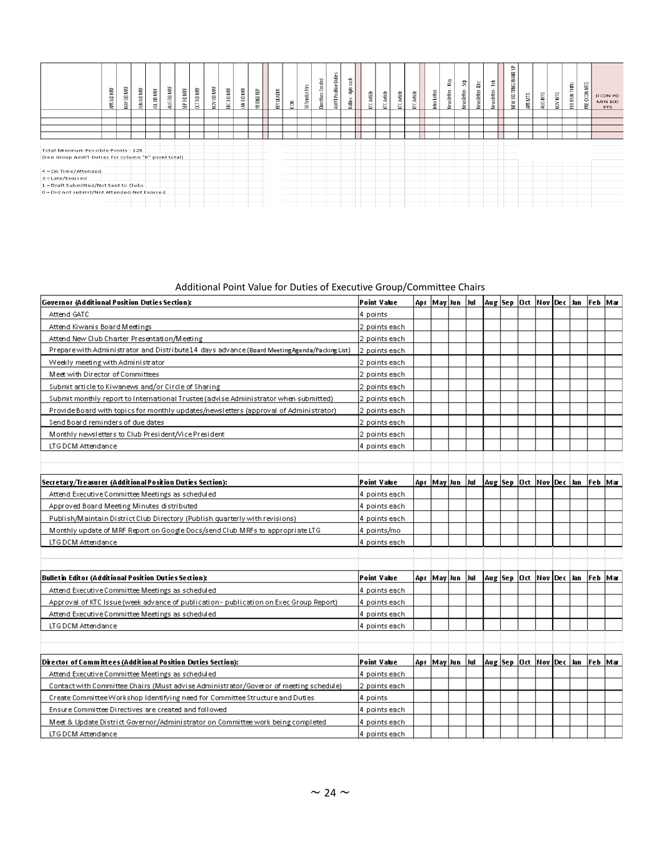|                                                                                             | Ë<br>50<br>₽Ě | MAY BD MRF | š<br>6<br>Ě | ₩F<br><b>INL BD</b> | ÑМ<br>$\Xi$<br>aur | MRF<br>읊<br>e, | <b>CCTBD MRF</b> | NOV BD MRF | DEC BD MRF | JAN BD MRF | YR END REP | <b>KEY LEADER</b> | ΓŒ | Service Hrs<br>S. | Directives Created | $\epsilon$<br>Addtl Position Dut | 튷<br>$\overline{a}$<br>gg.<br>Rallies | KTC Article | KTC Article | KTC Article | KTC Article | Intro Letter | Nay<br>$\sim$<br>Newsletter | និ<br>Newsletter | ë<br>wsletter<br>ž | Newsletter - Feb | ₿<br>NEW BD TRNG/MAKE | APR NTG | МĽ<br>aug | NOV MTG | FEB RUN THRU | ÑМ<br>PRE-DCON | <b>DCON PD</b><br><b>MIN 100</b><br><b>PTS</b> |
|---------------------------------------------------------------------------------------------|---------------|------------|-------------|---------------------|--------------------|----------------|------------------|------------|------------|------------|------------|-------------------|----|-------------------|--------------------|----------------------------------|---------------------------------------|-------------|-------------|-------------|-------------|--------------|-----------------------------|------------------|--------------------|------------------|-----------------------|---------|-----------|---------|--------------|----------------|------------------------------------------------|
|                                                                                             |               |            |             |                     |                    |                |                  |            |            |            |            |                   |    |                   |                    |                                  |                                       |             |             |             |             |              |                             |                  |                    |                  |                       |         |           |         |              |                |                                                |
|                                                                                             |               |            |             |                     |                    |                |                  |            |            |            |            |                   |    |                   |                    |                                  |                                       |             |             |             |             |              |                             |                  |                    |                  |                       |         |           |         |              |                |                                                |
|                                                                                             |               |            |             |                     |                    |                |                  |            |            |            |            |                   |    |                   |                    |                                  |                                       |             |             |             |             |              |                             |                  |                    |                  |                       |         |           |         |              |                |                                                |
|                                                                                             |               |            |             |                     |                    |                |                  |            |            |            |            |                   |    |                   |                    |                                  |                                       |             |             |             |             |              |                             |                  |                    |                  |                       |         |           |         |              |                |                                                |
| Total Minimum Possible Points - 128<br>(See Group Addt'l Duties for Column "R" point total) |               |            |             |                     |                    |                |                  |            |            |            |            |                   |    |                   |                    |                                  |                                       |             |             |             |             |              |                             |                  |                    |                  |                       |         |           |         |              |                |                                                |
| $4 = On$ Time/Attended                                                                      |               |            |             |                     |                    |                |                  |            |            |            |            |                   |    |                   |                    |                                  |                                       |             |             |             |             |              |                             |                  |                    |                  |                       |         |           |         |              |                |                                                |
| $3 =$ Late/Excused                                                                          |               |            |             |                     |                    |                |                  |            |            |            |            |                   |    |                   |                    |                                  |                                       |             |             |             |             |              |                             |                  |                    |                  |                       |         |           |         |              |                |                                                |
| 1 = Draft Submitted/Not Sent to Clubs                                                       |               |            |             |                     |                    |                |                  |            |            |            |            |                   |    |                   |                    |                                  |                                       |             |             |             |             |              |                             |                  |                    |                  |                       |         |           |         |              |                |                                                |
| O = Did not submit/Not Attended-Not Excused                                                 |               |            |             |                     |                    |                |                  |            |            |            |            |                   |    |                   |                    |                                  |                                       |             |             |             |             |              |                             |                  |                    |                  |                       |         |           |         |              |                |                                                |
|                                                                                             |               |            |             |                     |                    |                |                  |            |            |            |            |                   |    |                   |                    |                                  |                                       |             |             |             |             |              |                             |                  |                    |                  |                       |         |           |         |              |                |                                                |

# Additional Point Value for Duties of Executive Group/Committee Chairs

| Governor (Additional Position Duties Section):                                                | Point Value    |              |     |             |                               |  | Apr  May Jun  Jul  Aug Sep  Oct  Nov Dec Jan  Feb  Mar |  |
|-----------------------------------------------------------------------------------------------|----------------|--------------|-----|-------------|-------------------------------|--|--------------------------------------------------------|--|
| Attend GATC                                                                                   | 4 points       |              |     |             |                               |  |                                                        |  |
| Attend Kiwanis Board Meetings                                                                 | 2 points each. |              |     |             |                               |  |                                                        |  |
| Attend New Club Charter Presentation/Meeting                                                  | 2 points each  |              |     |             |                               |  |                                                        |  |
| Prepare with Administrator and Distribute 14 days advance (Board Meeting Agenda/Packing List) | 2 points each  |              |     |             |                               |  |                                                        |  |
| Weekly meeting with Administrator                                                             | 2 points each  |              |     |             |                               |  |                                                        |  |
| Meet with Director of Committees                                                              | 2 points each  |              |     |             |                               |  |                                                        |  |
| Submit article to Kiwanews and/or Circle of Sharing                                           | 2 points each  |              |     |             |                               |  |                                                        |  |
| Submit monthly report to International Trustee (advise Administrator when submitted)          | 2 points each  |              |     |             |                               |  |                                                        |  |
| Provide Board with topics for monthly updates/newsletters (approval of Administrator)         | 2 points each  |              |     |             |                               |  |                                                        |  |
| Send Board reminders of due dates                                                             | 2 points each  |              |     |             |                               |  |                                                        |  |
| Monthly newsletters to Club President/Vice President                                          | 2 points each  |              |     |             |                               |  |                                                        |  |
| LTG DCM Attendance                                                                            | 4 points each  |              |     |             |                               |  |                                                        |  |
|                                                                                               |                |              |     |             |                               |  |                                                        |  |
|                                                                                               |                |              |     |             |                               |  |                                                        |  |
| Secretary/Treasurer (Additional Position Duties Section):                                     | Point Value    | Apr  May Jun | Jul |             | Aug  Sep  Oct  Nov  Dec   Jan |  | Feb   Mar                                              |  |
| Attend Executive Committee Meetings as scheduled                                              | 4 points each  |              |     |             |                               |  |                                                        |  |
| Approved Board Meeting Minutes distributed                                                    | 4 points each  |              |     |             |                               |  |                                                        |  |
| Publish/Maintain District Club Directory (Publish quarterly with revisions)                   | 4 points each  |              |     |             |                               |  |                                                        |  |
| Monthly update of MRF Report on Google Docs/send Club MRFs to appropriate LTG                 | 4 points/mo    |              |     |             |                               |  |                                                        |  |
| LTG DCM Attendance                                                                            | 4 points each  |              |     |             |                               |  |                                                        |  |
|                                                                                               |                |              |     |             |                               |  |                                                        |  |
|                                                                                               |                |              |     |             |                               |  |                                                        |  |
| Bulletin Editor (Additional Position Duties Section):                                         | Point Value    | Apr  May Jun | Jul | Aug Sep Oct | Nov Dec Jan                   |  | Feb Mar                                                |  |
| Attend Executive Committee Meetings as scheduled                                              | 4 points each  |              |     |             |                               |  |                                                        |  |
| Approval of KTC Issue (week advance of publication - publication on Exec Group Report)        | 4 points each  |              |     |             |                               |  |                                                        |  |
| Attend Executive Committee Meetings as scheduled                                              | 4 points each  |              |     |             |                               |  |                                                        |  |
| LTG DCM Attendance                                                                            | 4 points each  |              |     |             |                               |  |                                                        |  |
|                                                                                               |                |              |     |             |                               |  |                                                        |  |
|                                                                                               |                |              |     |             |                               |  |                                                        |  |
| Director of Committees (Additional Position Duties Section):                                  | Point Value    | Apr  May Jun | Jul |             | Aug  Sep  Oct  Nov  Dec  Jan  |  | Feb   Mar                                              |  |
| Attend Executive Committee Meetings as scheduled                                              | 4 points each  |              |     |             |                               |  |                                                        |  |
| Contact with Committee Chairs (Must advise Administrator/Goveror of meeting schedule)         | 2 points each  |              |     |             |                               |  |                                                        |  |
| Create Committee Workshop Identifying need for Committee Structure and Duties                 | 4 points       |              |     |             |                               |  |                                                        |  |
| Ensure Committee Directives are created and followed                                          | 4 points each  |              |     |             |                               |  |                                                        |  |
| Meet & Update District Governor/Administrator on Committee work being completed               | 4 points each  |              |     |             |                               |  |                                                        |  |
| LTG DCM Attendance                                                                            |                |              |     |             |                               |  |                                                        |  |